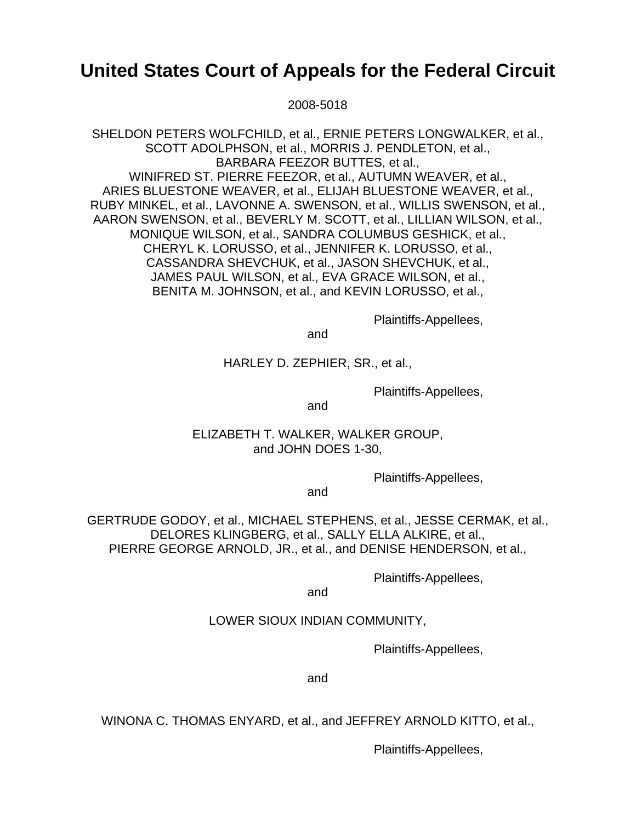# **United States Court of Appeals for the Federal Circuit**

2008-5018

SHELDON PETERS WOLFCHILD, et al., ERNIE PETERS LONGWALKER, et al., SCOTT ADOLPHSON, et al., MORRIS J. PENDLETON, et al., BARBARA FEEZOR BUTTES, et al., WINIFRED ST. PIERRE FEEZOR, et al., AUTUMN WEAVER, et al., ARIES BLUESTONE WEAVER, et al., ELIJAH BLUESTONE WEAVER, et al., RUBY MINKEL, et al., LAVONNE A. SWENSON, et al., WILLIS SWENSON, et al., AARON SWENSON, et al., BEVERLY M. SCOTT, et al., LILLIAN WILSON, et al., MONIQUE WILSON, et al., SANDRA COLUMBUS GESHICK, et al., CHERYL K. LORUSSO, et al., JENNIFER K. LORUSSO, et al., CASSANDRA SHEVCHUK, et al., JASON SHEVCHUK, et al., JAMES PAUL WILSON, et al., EVA GRACE WILSON, et al., BENITA M. JOHNSON, et al., and KEVIN LORUSSO, et al.,

Plaintiffs-Appellees,

and

## HARLEY D. ZEPHIER, SR., et al.,

Plaintiffs-Appellees,

and

# ELIZABETH T. WALKER, WALKER GROUP, and JOHN DOES 1-30,

Plaintiffs-Appellees,

and

GERTRUDE GODOY, et al., MICHAEL STEPHENS, et al., JESSE CERMAK, et al., DELORES KLINGBERG, et al., SALLY ELLA ALKIRE, et al., PIERRE GEORGE ARNOLD, JR., et al., and DENISE HENDERSON, et al.,

Plaintiffs-Appellees,

and

## LOWER SIOUX INDIAN COMMUNITY,

Plaintiffs-Appellees,

and

WINONA C. THOMAS ENYARD, et al., and JEFFREY ARNOLD KITTO, et al.,

Plaintiffs-Appellees,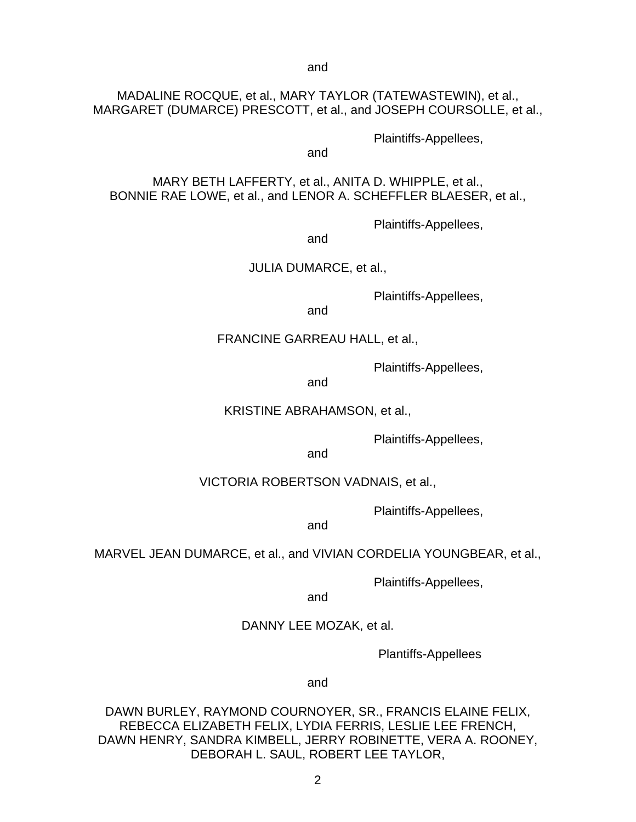and

# MADALINE ROCQUE, et al., MARY TAYLOR (TATEWASTEWIN), et al., MARGARET (DUMARCE) PRESCOTT, et al., and JOSEPH COURSOLLE, et al.,

Plaintiffs-Appellees,

and

MARY BETH LAFFERTY, et al., ANITA D. WHIPPLE, et al., BONNIE RAE LOWE, et al., and LENOR A. SCHEFFLER BLAESER, et al.,

Plaintiffs-Appellees,

and

JULIA DUMARCE, et al.,

Plaintiffs-Appellees,

and

#### FRANCINE GARREAU HALL, et al.,

Plaintiffs-Appellees,

and

KRISTINE ABRAHAMSON, et al.,

Plaintiffs-Appellees,

and

#### VICTORIA ROBERTSON VADNAIS, et al.,

Plaintiffs-Appellees,

and

MARVEL JEAN DUMARCE, et al., and VIVIAN CORDELIA YOUNGBEAR, et al.,

Plaintiffs-Appellees,

and

#### DANNY LEE MOZAK, et al.

Plantiffs-Appellees

and

DAWN BURLEY, RAYMOND COURNOYER, SR., FRANCIS ELAINE FELIX, REBECCA ELIZABETH FELIX, LYDIA FERRIS, LESLIE LEE FRENCH, DAWN HENRY, SANDRA KIMBELL, JERRY ROBINETTE, VERA A. ROONEY, DEBORAH L. SAUL, ROBERT LEE TAYLOR,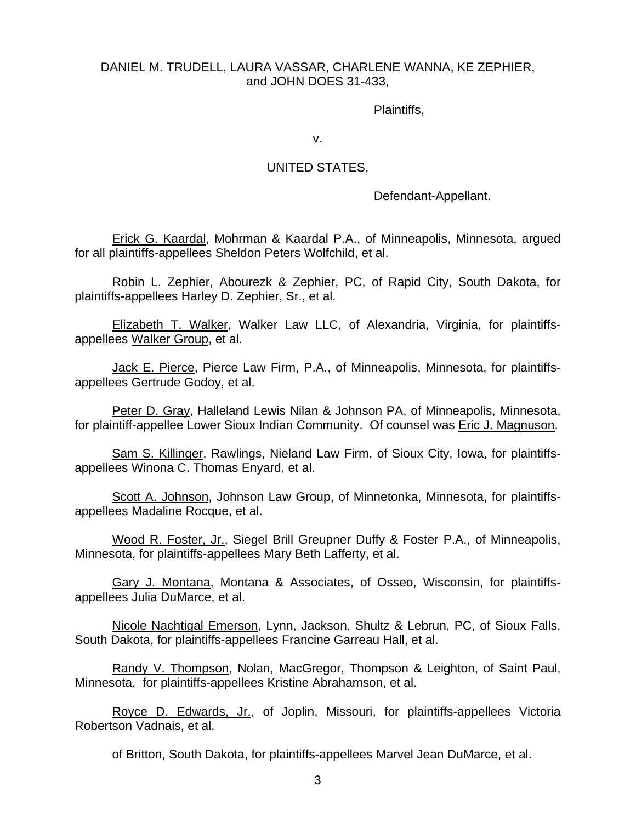# DANIEL M. TRUDELL, LAURA VASSAR, CHARLENE WANNA, KE ZEPHIER, and JOHN DOES 31-433,

Plaintiffs,

v.

### UNITED STATES,

Defendant-Appellant.

Erick G. Kaardal, Mohrman & Kaardal P.A., of Minneapolis, Minnesota, argued for all plaintiffs-appellees Sheldon Peters Wolfchild, et al.

Robin L. Zephier, Abourezk & Zephier, PC, of Rapid City, South Dakota, for plaintiffs-appellees Harley D. Zephier, Sr., et al.

Elizabeth T. Walker, Walker Law LLC, of Alexandria, Virginia, for plaintiffsappellees Walker Group, et al.

Jack E. Pierce, Pierce Law Firm, P.A., of Minneapolis, Minnesota, for plaintiffsappellees Gertrude Godoy, et al.

Peter D. Gray, Halleland Lewis Nilan & Johnson PA, of Minneapolis, Minnesota, for plaintiff-appellee Lower Sioux Indian Community. Of counsel was Eric J. Magnuson.

Sam S. Killinger, Rawlings, Nieland Law Firm, of Sioux City, Iowa, for plaintiffsappellees Winona C. Thomas Enyard, et al.

Scott A. Johnson, Johnson Law Group, of Minnetonka, Minnesota, for plaintiffsappellees Madaline Rocque, et al.

Wood R. Foster, Jr., Siegel Brill Greupner Duffy & Foster P.A., of Minneapolis, Minnesota, for plaintiffs-appellees Mary Beth Lafferty, et al.

Gary J. Montana, Montana & Associates, of Osseo, Wisconsin, for plaintiffsappellees Julia DuMarce, et al.

Nicole Nachtigal Emerson, Lynn, Jackson, Shultz & Lebrun, PC, of Sioux Falls, South Dakota, for plaintiffs-appellees Francine Garreau Hall, et al.

Randy V. Thompson, Nolan, MacGregor, Thompson & Leighton, of Saint Paul, Minnesota, for plaintiffs-appellees Kristine Abrahamson, et al.

Royce D. Edwards, Jr., of Joplin, Missouri, for plaintiffs-appellees Victoria Robertson Vadnais, et al.

of Britton, South Dakota, for plaintiffs-appellees Marvel Jean DuMarce, et al.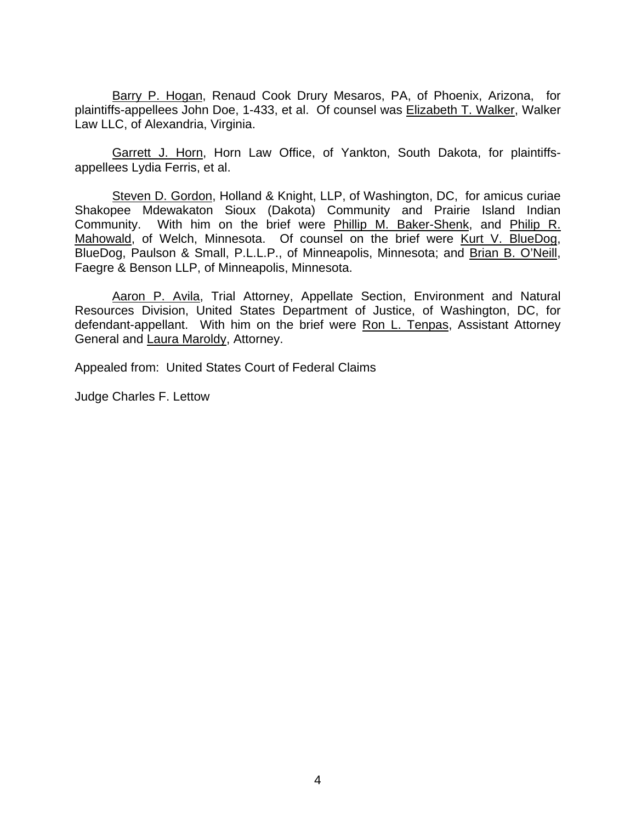Barry P. Hogan, Renaud Cook Drury Mesaros, PA, of Phoenix, Arizona, for plaintiffs-appellees John Doe, 1-433, et al. Of counsel was Elizabeth T. Walker, Walker Law LLC, of Alexandria, Virginia.

Garrett J. Horn, Horn Law Office, of Yankton, South Dakota, for plaintiffsappellees Lydia Ferris, et al.

Steven D. Gordon, Holland & Knight, LLP, of Washington, DC, for amicus curiae Shakopee Mdewakaton Sioux (Dakota) Community and Prairie Island Indian Community. With him on the brief were Phillip M. Baker-Shenk, and Philip R. Mahowald, of Welch, Minnesota. Of counsel on the brief were Kurt V. BlueDog, BlueDog, Paulson & Small, P.L.L.P., of Minneapolis, Minnesota; and Brian B. O'Neill, Faegre & Benson LLP, of Minneapolis, Minnesota.

Aaron P. Avila, Trial Attorney, Appellate Section, Environment and Natural Resources Division, United States Department of Justice, of Washington, DC, for defendant-appellant. With him on the brief were Ron L. Tenpas, Assistant Attorney General and Laura Maroldy, Attorney.

Appealed from: United States Court of Federal Claims

Judge Charles F. Lettow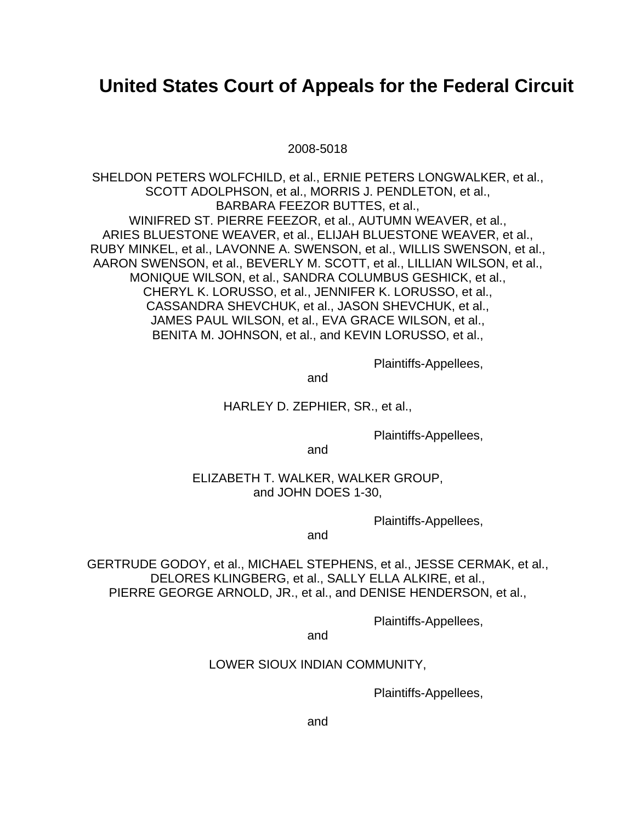# **United States Court of Appeals for the Federal Circuit**

#### 2008-5018

SHELDON PETERS WOLFCHILD, et al., ERNIE PETERS LONGWALKER, et al., SCOTT ADOLPHSON, et al., MORRIS J. PENDLETON, et al., BARBARA FEEZOR BUTTES, et al., WINIFRED ST. PIERRE FEEZOR, et al., AUTUMN WEAVER, et al., ARIES BLUESTONE WEAVER, et al., ELIJAH BLUESTONE WEAVER, et al., RUBY MINKEL, et al., LAVONNE A. SWENSON, et al., WILLIS SWENSON, et al., AARON SWENSON, et al., BEVERLY M. SCOTT, et al., LILLIAN WILSON, et al., MONIQUE WILSON, et al., SANDRA COLUMBUS GESHICK, et al., CHERYL K. LORUSSO, et al., JENNIFER K. LORUSSO, et al., CASSANDRA SHEVCHUK, et al., JASON SHEVCHUK, et al., JAMES PAUL WILSON, et al., EVA GRACE WILSON, et al., BENITA M. JOHNSON, et al., and KEVIN LORUSSO, et al.,

Plaintiffs-Appellees,

and

HARLEY D. ZEPHIER, SR., et al.,

Plaintiffs-Appellees,

and

ELIZABETH T. WALKER, WALKER GROUP, and JOHN DOES 1-30,

Plaintiffs-Appellees,

and

GERTRUDE GODOY, et al., MICHAEL STEPHENS, et al., JESSE CERMAK, et al., DELORES KLINGBERG, et al., SALLY ELLA ALKIRE, et al., PIERRE GEORGE ARNOLD, JR., et al., and DENISE HENDERSON, et al.,

Plaintiffs-Appellees,

and

# LOWER SIOUX INDIAN COMMUNITY,

Plaintiffs-Appellees,

and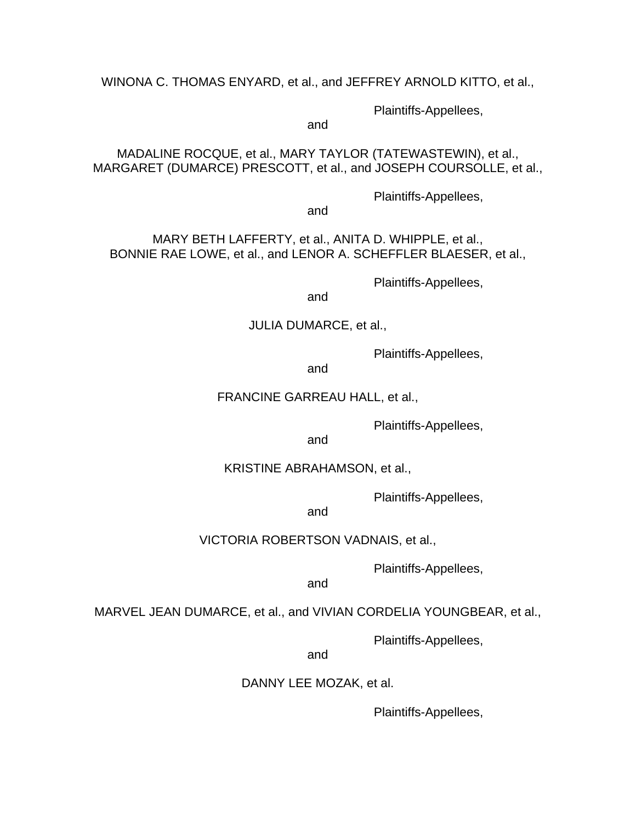WINONA C. THOMAS ENYARD, et al., and JEFFREY ARNOLD KITTO, et al.,

Plaintiffs-Appellees,

and

MADALINE ROCQUE, et al., MARY TAYLOR (TATEWASTEWIN), et al., MARGARET (DUMARCE) PRESCOTT, et al., and JOSEPH COURSOLLE, et al.,

Plaintiffs-Appellees,

and

# MARY BETH LAFFERTY, et al., ANITA D. WHIPPLE, et al., BONNIE RAE LOWE, et al., and LENOR A. SCHEFFLER BLAESER, et al.,

Plaintiffs-Appellees,

and

# JULIA DUMARCE, et al.,

Plaintiffs-Appellees,

and

#### FRANCINE GARREAU HALL, et al.,

Plaintiffs-Appellees,

and

#### KRISTINE ABRAHAMSON, et al.,

Plaintiffs-Appellees,

and

## VICTORIA ROBERTSON VADNAIS, et al.,

Plaintiffs-Appellees,

and

# MARVEL JEAN DUMARCE, et al., and VIVIAN CORDELIA YOUNGBEAR, et al.,

Plaintiffs-Appellees,

and

## DANNY LEE MOZAK, et al.

Plaintiffs-Appellees,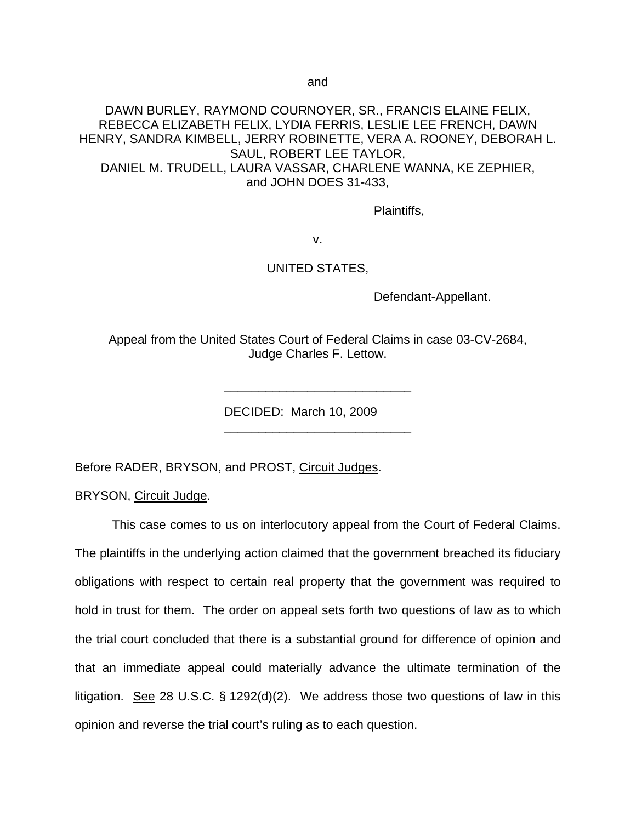and

DAWN BURLEY, RAYMOND COURNOYER, SR., FRANCIS ELAINE FELIX, REBECCA ELIZABETH FELIX, LYDIA FERRIS, LESLIE LEE FRENCH, DAWN HENRY, SANDRA KIMBELL, JERRY ROBINETTE, VERA A. ROONEY, DEBORAH L. SAUL, ROBERT LEE TAYLOR, DANIEL M. TRUDELL, LAURA VASSAR, CHARLENE WANNA, KE ZEPHIER, and JOHN DOES 31-433,

Plaintiffs,

v.

#### UNITED STATES,

Defendant-Appellant.

Appeal from the United States Court of Federal Claims in case 03-CV-2684, Judge Charles F. Lettow.

\_\_\_\_\_\_\_\_\_\_\_\_\_\_\_\_\_\_\_\_\_\_\_\_\_\_\_

\_\_\_\_\_\_\_\_\_\_\_\_\_\_\_\_\_\_\_\_\_\_\_\_\_\_\_

DECIDED: March 10, 2009

Before RADER, BRYSON, and PROST, Circuit Judges.

BRYSON, Circuit Judge.

This case comes to us on interlocutory appeal from the Court of Federal Claims. The plaintiffs in the underlying action claimed that the government breached its fiduciary obligations with respect to certain real property that the government was required to hold in trust for them. The order on appeal sets forth two questions of law as to which the trial court concluded that there is a substantial ground for difference of opinion and that an immediate appeal could materially advance the ultimate termination of the litigation. See 28 U.S.C. § 1292(d)(2). We address those two questions of law in this opinion and reverse the trial court's ruling as to each question.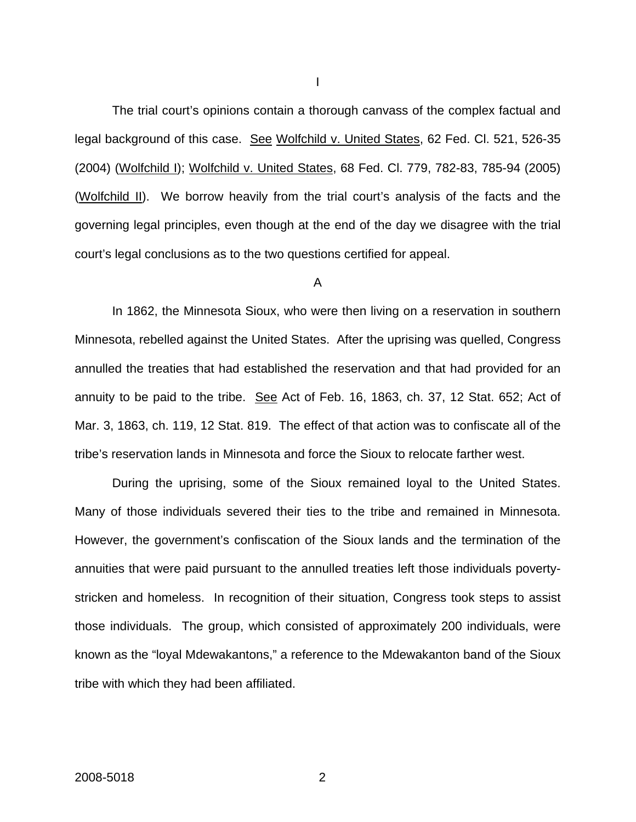The trial court's opinions contain a thorough canvass of the complex factual and legal background of this case. See Wolfchild v. United States, 62 Fed. Cl. 521, 526-35 (2004) (Wolfchild I); Wolfchild v. United States, 68 Fed. Cl. 779, 782-83, 785-94 (2005) (Wolfchild II). We borrow heavily from the trial court's analysis of the facts and the governing legal principles, even though at the end of the day we disagree with the trial court's legal conclusions as to the two questions certified for appeal.

#### A

 In 1862, the Minnesota Sioux, who were then living on a reservation in southern Minnesota, rebelled against the United States. After the uprising was quelled, Congress annulled the treaties that had established the reservation and that had provided for an annuity to be paid to the tribe. See Act of Feb. 16, 1863, ch. 37, 12 Stat. 652; Act of Mar. 3, 1863, ch. 119, 12 Stat. 819. The effect of that action was to confiscate all of the tribe's reservation lands in Minnesota and force the Sioux to relocate farther west.

During the uprising, some of the Sioux remained loyal to the United States. Many of those individuals severed their ties to the tribe and remained in Minnesota. However, the government's confiscation of the Sioux lands and the termination of the annuities that were paid pursuant to the annulled treaties left those individuals povertystricken and homeless. In recognition of their situation, Congress took steps to assist those individuals. The group, which consisted of approximately 200 individuals, were known as the "loyal Mdewakantons," a reference to the Mdewakanton band of the Sioux tribe with which they had been affiliated.

I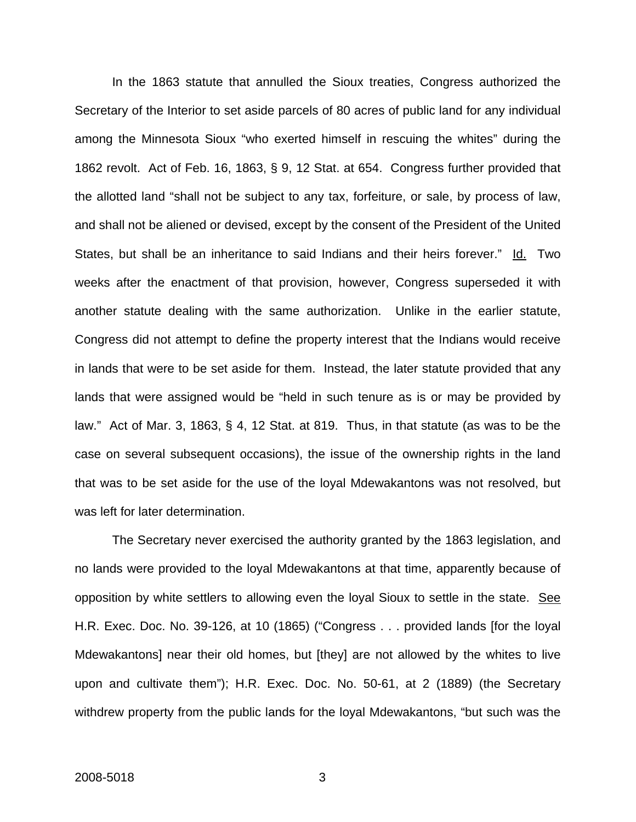In the 1863 statute that annulled the Sioux treaties, Congress authorized the Secretary of the Interior to set aside parcels of 80 acres of public land for any individual among the Minnesota Sioux "who exerted himself in rescuing the whites" during the 1862 revolt. Act of Feb. 16, 1863, § 9, 12 Stat. at 654. Congress further provided that the allotted land "shall not be subject to any tax, forfeiture, or sale, by process of law, and shall not be aliened or devised, except by the consent of the President of the United States, but shall be an inheritance to said Indians and their heirs forever." Id. Two weeks after the enactment of that provision, however, Congress superseded it with another statute dealing with the same authorization. Unlike in the earlier statute, Congress did not attempt to define the property interest that the Indians would receive in lands that were to be set aside for them. Instead, the later statute provided that any lands that were assigned would be "held in such tenure as is or may be provided by law." Act of Mar. 3, 1863, § 4, 12 Stat. at 819. Thus, in that statute (as was to be the case on several subsequent occasions), the issue of the ownership rights in the land that was to be set aside for the use of the loyal Mdewakantons was not resolved, but was left for later determination.

The Secretary never exercised the authority granted by the 1863 legislation, and no lands were provided to the loyal Mdewakantons at that time, apparently because of opposition by white settlers to allowing even the loyal Sioux to settle in the state. See H.R. Exec. Doc. No. 39-126, at 10 (1865) ("Congress . . . provided lands [for the loyal Mdewakantons] near their old homes, but [they] are not allowed by the whites to live upon and cultivate them"); H.R. Exec. Doc. No. 50-61, at 2 (1889) (the Secretary withdrew property from the public lands for the loyal Mdewakantons, "but such was the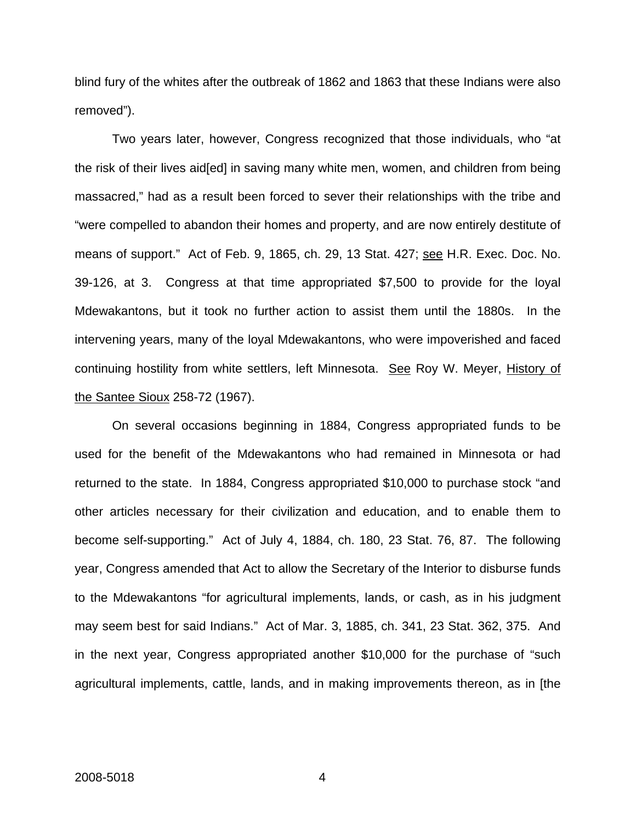blind fury of the whites after the outbreak of 1862 and 1863 that these Indians were also removed").

Two years later, however, Congress recognized that those individuals, who "at the risk of their lives aid[ed] in saving many white men, women, and children from being massacred," had as a result been forced to sever their relationships with the tribe and "were compelled to abandon their homes and property, and are now entirely destitute of means of support." Act of Feb. 9, 1865, ch. 29, 13 Stat. 427; see H.R. Exec. Doc. No. 39-126, at 3. Congress at that time appropriated \$7,500 to provide for the loyal Mdewakantons, but it took no further action to assist them until the 1880s. In the intervening years, many of the loyal Mdewakantons, who were impoverished and faced continuing hostility from white settlers, left Minnesota. See Roy W. Meyer, History of the Santee Sioux 258-72 (1967).

On several occasions beginning in 1884, Congress appropriated funds to be used for the benefit of the Mdewakantons who had remained in Minnesota or had returned to the state. In 1884, Congress appropriated \$10,000 to purchase stock "and other articles necessary for their civilization and education, and to enable them to become self-supporting." Act of July 4, 1884, ch. 180, 23 Stat. 76, 87. The following year, Congress amended that Act to allow the Secretary of the Interior to disburse funds to the Mdewakantons "for agricultural implements, lands, or cash, as in his judgment may seem best for said Indians." Act of Mar. 3, 1885, ch. 341, 23 Stat. 362, 375. And in the next year, Congress appropriated another \$10,000 for the purchase of "such agricultural implements, cattle, lands, and in making improvements thereon, as in [the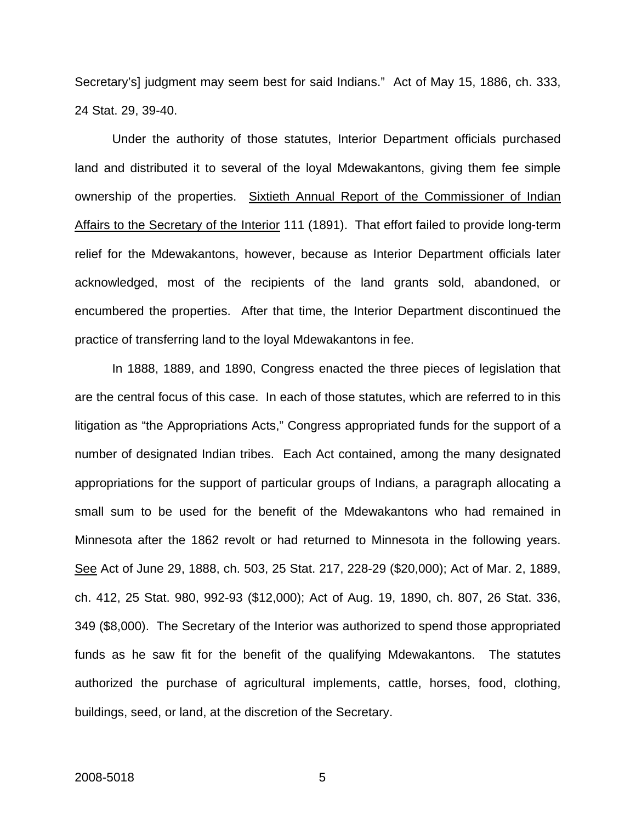Secretary's] judgment may seem best for said Indians." Act of May 15, 1886, ch. 333, 24 Stat. 29, 39-40.

Under the authority of those statutes, Interior Department officials purchased land and distributed it to several of the loyal Mdewakantons, giving them fee simple ownership of the properties. Sixtieth Annual Report of the Commissioner of Indian Affairs to the Secretary of the Interior 111 (1891). That effort failed to provide long-term relief for the Mdewakantons, however, because as Interior Department officials later acknowledged, most of the recipients of the land grants sold, abandoned, or encumbered the properties. After that time, the Interior Department discontinued the practice of transferring land to the loyal Mdewakantons in fee.

 In 1888, 1889, and 1890, Congress enacted the three pieces of legislation that are the central focus of this case. In each of those statutes, which are referred to in this litigation as "the Appropriations Acts," Congress appropriated funds for the support of a number of designated Indian tribes. Each Act contained, among the many designated appropriations for the support of particular groups of Indians, a paragraph allocating a small sum to be used for the benefit of the Mdewakantons who had remained in Minnesota after the 1862 revolt or had returned to Minnesota in the following years. See Act of June 29, 1888, ch. 503, 25 Stat. 217, 228-29 (\$20,000); Act of Mar. 2, 1889, ch. 412, 25 Stat. 980, 992-93 (\$12,000); Act of Aug. 19, 1890, ch. 807, 26 Stat. 336, 349 (\$8,000). The Secretary of the Interior was authorized to spend those appropriated funds as he saw fit for the benefit of the qualifying Mdewakantons. The statutes authorized the purchase of agricultural implements, cattle, horses, food, clothing, buildings, seed, or land, at the discretion of the Secretary.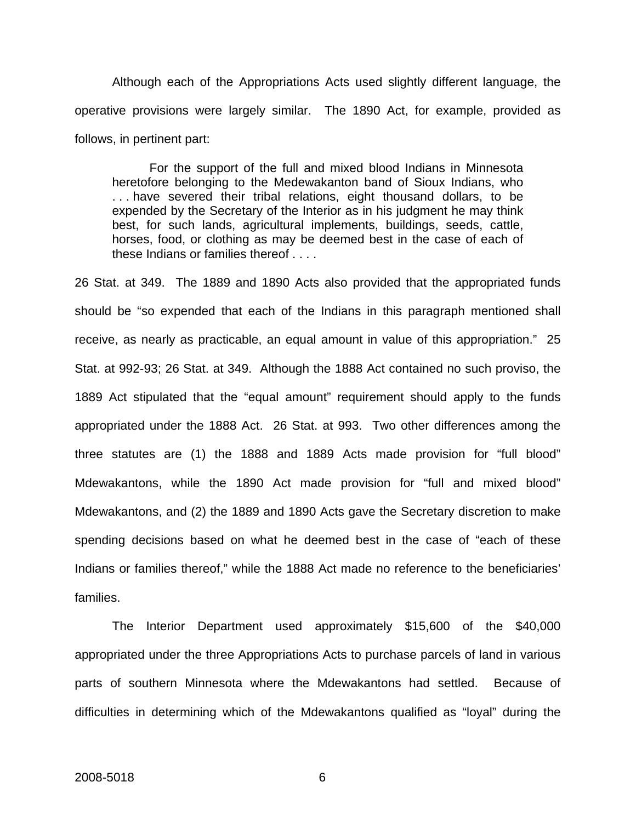Although each of the Appropriations Acts used slightly different language, the operative provisions were largely similar. The 1890 Act, for example, provided as follows, in pertinent part:

 For the support of the full and mixed blood Indians in Minnesota heretofore belonging to the Medewakanton band of Sioux Indians, who . . . have severed their tribal relations, eight thousand dollars, to be expended by the Secretary of the Interior as in his judgment he may think best, for such lands, agricultural implements, buildings, seeds, cattle, horses, food, or clothing as may be deemed best in the case of each of these Indians or families thereof . . . .

26 Stat. at 349. The 1889 and 1890 Acts also provided that the appropriated funds should be "so expended that each of the Indians in this paragraph mentioned shall receive, as nearly as practicable, an equal amount in value of this appropriation." 25 Stat. at 992-93; 26 Stat. at 349. Although the 1888 Act contained no such proviso, the 1889 Act stipulated that the "equal amount" requirement should apply to the funds appropriated under the 1888 Act. 26 Stat. at 993. Two other differences among the three statutes are (1) the 1888 and 1889 Acts made provision for "full blood" Mdewakantons, while the 1890 Act made provision for "full and mixed blood" Mdewakantons, and (2) the 1889 and 1890 Acts gave the Secretary discretion to make spending decisions based on what he deemed best in the case of "each of these Indians or families thereof," while the 1888 Act made no reference to the beneficiaries' families.

The Interior Department used approximately \$15,600 of the \$40,000 appropriated under the three Appropriations Acts to purchase parcels of land in various parts of southern Minnesota where the Mdewakantons had settled. Because of difficulties in determining which of the Mdewakantons qualified as "loyal" during the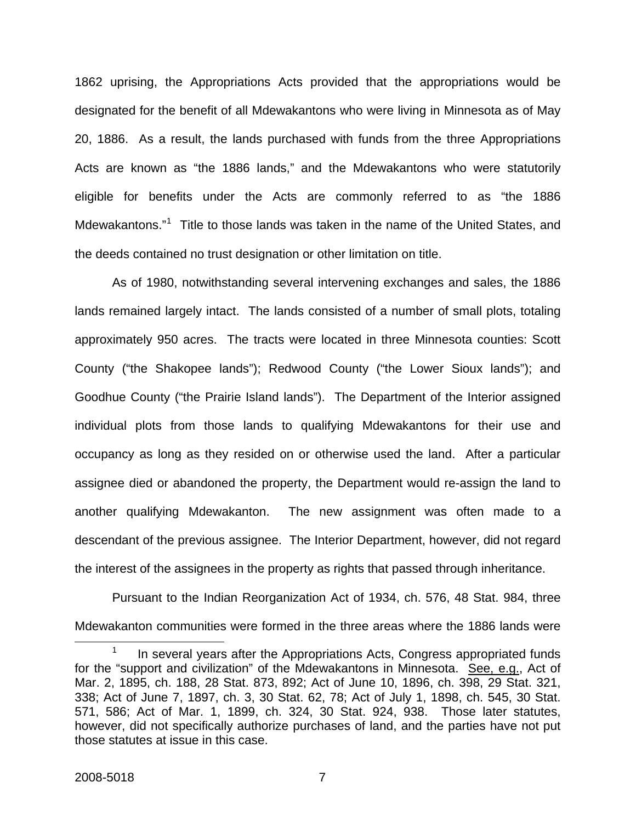1862 uprising, the Appropriations Acts provided that the appropriations would be designated for the benefit of all Mdewakantons who were living in Minnesota as of May 20, 1886. As a result, the lands purchased with funds from the three Appropriations Acts are known as "the 1886 lands," and the Mdewakantons who were statutorily eligible for benefits under the Acts are commonly referred to as "the 1886 Mdewakantons."<sup>[1](#page-12-0)</sup> Title to those lands was taken in the name of the United States, and the deeds contained no trust designation or other limitation on title.

As of 1980, notwithstanding several intervening exchanges and sales, the 1886 lands remained largely intact. The lands consisted of a number of small plots, totaling approximately 950 acres. The tracts were located in three Minnesota counties: Scott County ("the Shakopee lands"); Redwood County ("the Lower Sioux lands"); and Goodhue County ("the Prairie Island lands"). The Department of the Interior assigned individual plots from those lands to qualifying Mdewakantons for their use and occupancy as long as they resided on or otherwise used the land. After a particular assignee died or abandoned the property, the Department would re-assign the land to another qualifying Mdewakanton. The new assignment was often made to a descendant of the previous assignee. The Interior Department, however, did not regard the interest of the assignees in the property as rights that passed through inheritance.

Pursuant to the Indian Reorganization Act of 1934, ch. 576, 48 Stat. 984, three Mdewakanton communities were formed in the three areas where the 1886 lands were

<span id="page-12-0"></span><sup>1</sup> In several years after the Appropriations Acts, Congress appropriated funds for the "support and civilization" of the Mdewakantons in Minnesota. See, e.g., Act of Mar. 2, 1895, ch. 188, 28 Stat. 873, 892; Act of June 10, 1896, ch. 398, 29 Stat. 321, 338; Act of June 7, 1897, ch. 3, 30 Stat. 62, 78; Act of July 1, 1898, ch. 545, 30 Stat. 571, 586; Act of Mar. 1, 1899, ch. 324, 30 Stat. 924, 938. Those later statutes, however, did not specifically authorize purchases of land, and the parties have not put those statutes at issue in this case.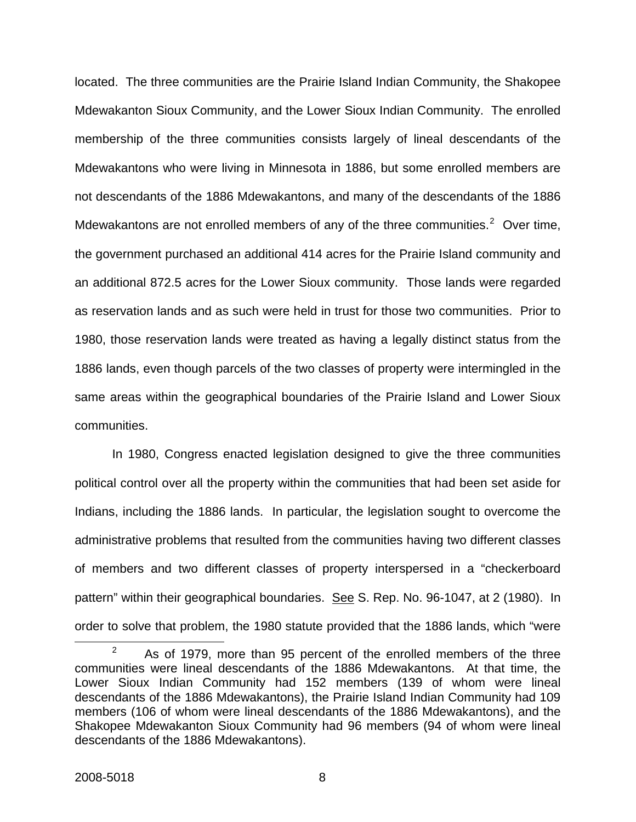located. The three communities are the Prairie Island Indian Community, the Shakopee Mdewakanton Sioux Community, and the Lower Sioux Indian Community. The enrolled membership of the three communities consists largely of lineal descendants of the Mdewakantons who were living in Minnesota in 1886, but some enrolled members are not descendants of the 1886 Mdewakantons, and many of the descendants of the 1886 Mdewakantons are not enrolled members of any of the three communities.<sup>[2](#page-13-0)</sup> Over time, the government purchased an additional 414 acres for the Prairie Island community and an additional 872.5 acres for the Lower Sioux community. Those lands were regarded as reservation lands and as such were held in trust for those two communities. Prior to 1980, those reservation lands were treated as having a legally distinct status from the 1886 lands, even though parcels of the two classes of property were intermingled in the same areas within the geographical boundaries of the Prairie Island and Lower Sioux communities.

In 1980, Congress enacted legislation designed to give the three communities political control over all the property within the communities that had been set aside for Indians, including the 1886 lands. In particular, the legislation sought to overcome the administrative problems that resulted from the communities having two different classes of members and two different classes of property interspersed in a "checkerboard pattern" within their geographical boundaries. See S. Rep. No. 96-1047, at 2 (1980). In order to solve that problem, the 1980 statute provided that the 1886 lands, which "were

<span id="page-13-0"></span><sup>2</sup>  $2^2$  As of 1979, more than 95 percent of the enrolled members of the three communities were lineal descendants of the 1886 Mdewakantons. At that time, the Lower Sioux Indian Community had 152 members (139 of whom were lineal descendants of the 1886 Mdewakantons), the Prairie Island Indian Community had 109 members (106 of whom were lineal descendants of the 1886 Mdewakantons), and the Shakopee Mdewakanton Sioux Community had 96 members (94 of whom were lineal descendants of the 1886 Mdewakantons).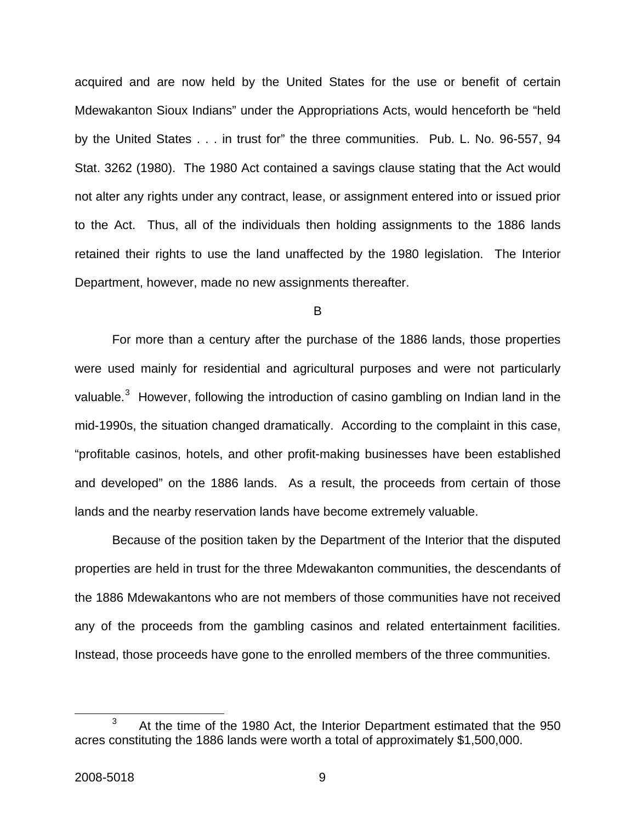acquired and are now held by the United States for the use or benefit of certain Mdewakanton Sioux Indians" under the Appropriations Acts, would henceforth be "held by the United States . . . in trust for" the three communities. Pub. L. No. 96-557, 94 Stat. 3262 (1980). The 1980 Act contained a savings clause stating that the Act would not alter any rights under any contract, lease, or assignment entered into or issued prior to the Act. Thus, all of the individuals then holding assignments to the 1886 lands retained their rights to use the land unaffected by the 1980 legislation. The Interior Department, however, made no new assignments thereafter.

B

For more than a century after the purchase of the 1886 lands, those properties were used mainly for residential and agricultural purposes and were not particularly valuable.<sup>[3](#page-14-0)</sup> However, following the introduction of casino gambling on Indian land in the mid-1990s, the situation changed dramatically. According to the complaint in this case, "profitable casinos, hotels, and other profit-making businesses have been established and developed" on the 1886 lands. As a result, the proceeds from certain of those lands and the nearby reservation lands have become extremely valuable.

Because of the position taken by the Department of the Interior that the disputed properties are held in trust for the three Mdewakanton communities, the descendants of the 1886 Mdewakantons who are not members of those communities have not received any of the proceeds from the gambling casinos and related entertainment facilities. Instead, those proceeds have gone to the enrolled members of the three communities.

<span id="page-14-0"></span><sup>3</sup>  $3$  At the time of the 1980 Act, the Interior Department estimated that the 950 acres constituting the 1886 lands were worth a total of approximately \$1,500,000.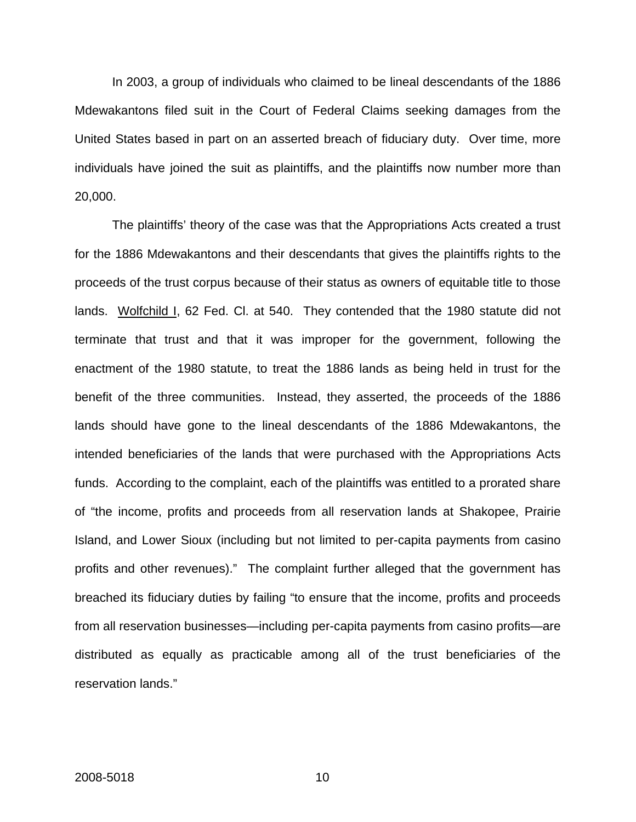In 2003, a group of individuals who claimed to be lineal descendants of the 1886 Mdewakantons filed suit in the Court of Federal Claims seeking damages from the United States based in part on an asserted breach of fiduciary duty. Over time, more individuals have joined the suit as plaintiffs, and the plaintiffs now number more than 20,000.

The plaintiffs' theory of the case was that the Appropriations Acts created a trust for the 1886 Mdewakantons and their descendants that gives the plaintiffs rights to the proceeds of the trust corpus because of their status as owners of equitable title to those lands. Wolfchild I, 62 Fed. Cl. at 540. They contended that the 1980 statute did not terminate that trust and that it was improper for the government, following the enactment of the 1980 statute, to treat the 1886 lands as being held in trust for the benefit of the three communities. Instead, they asserted, the proceeds of the 1886 lands should have gone to the lineal descendants of the 1886 Mdewakantons, the intended beneficiaries of the lands that were purchased with the Appropriations Acts funds. According to the complaint, each of the plaintiffs was entitled to a prorated share of "the income, profits and proceeds from all reservation lands at Shakopee, Prairie Island, and Lower Sioux (including but not limited to per-capita payments from casino profits and other revenues)." The complaint further alleged that the government has breached its fiduciary duties by failing "to ensure that the income, profits and proceeds from all reservation businesses—including per-capita payments from casino profits—are distributed as equally as practicable among all of the trust beneficiaries of the reservation lands."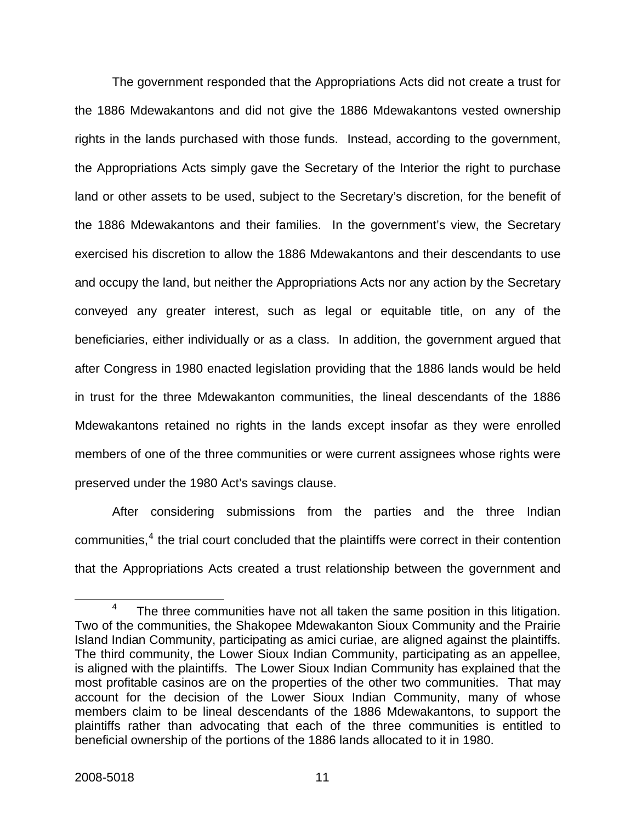The government responded that the Appropriations Acts did not create a trust for the 1886 Mdewakantons and did not give the 1886 Mdewakantons vested ownership rights in the lands purchased with those funds. Instead, according to the government, the Appropriations Acts simply gave the Secretary of the Interior the right to purchase land or other assets to be used, subject to the Secretary's discretion, for the benefit of the 1886 Mdewakantons and their families. In the government's view, the Secretary exercised his discretion to allow the 1886 Mdewakantons and their descendants to use and occupy the land, but neither the Appropriations Acts nor any action by the Secretary conveyed any greater interest, such as legal or equitable title, on any of the beneficiaries, either individually or as a class. In addition, the government argued that after Congress in 1980 enacted legislation providing that the 1886 lands would be held in trust for the three Mdewakanton communities, the lineal descendants of the 1886 Mdewakantons retained no rights in the lands except insofar as they were enrolled members of one of the three communities or were current assignees whose rights were preserved under the 1980 Act's savings clause.

After considering submissions from the parties and the three Indian communities,<sup>[4](#page-16-0)</sup> the trial court concluded that the plaintiffs were correct in their contention that the Appropriations Acts created a trust relationship between the government and

<span id="page-16-0"></span><sup>4</sup> <sup>4</sup> The three communities have not all taken the same position in this litigation. Two of the communities, the Shakopee Mdewakanton Sioux Community and the Prairie Island Indian Community, participating as amici curiae, are aligned against the plaintiffs. The third community, the Lower Sioux Indian Community, participating as an appellee, is aligned with the plaintiffs. The Lower Sioux Indian Community has explained that the most profitable casinos are on the properties of the other two communities. That may account for the decision of the Lower Sioux Indian Community, many of whose members claim to be lineal descendants of the 1886 Mdewakantons, to support the plaintiffs rather than advocating that each of the three communities is entitled to beneficial ownership of the portions of the 1886 lands allocated to it in 1980.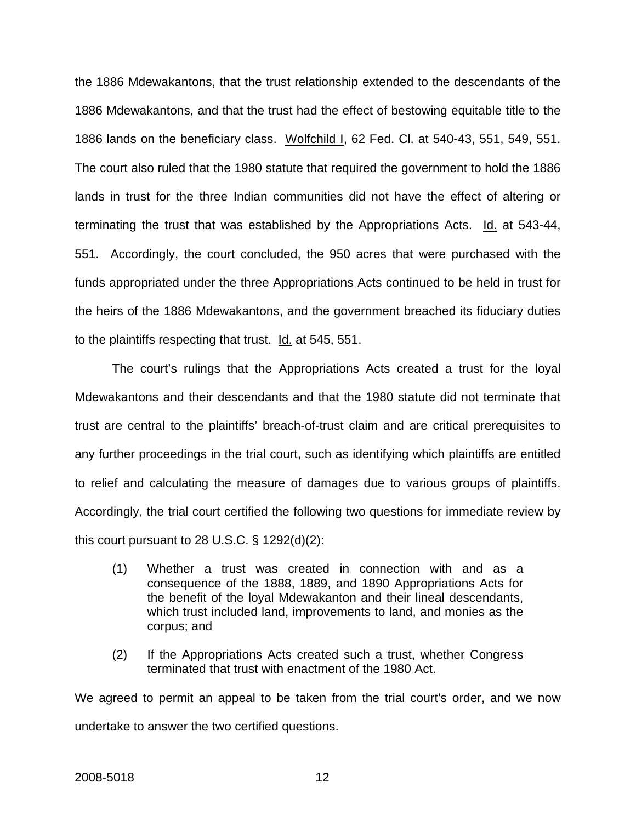the 1886 Mdewakantons, that the trust relationship extended to the descendants of the 1886 Mdewakantons, and that the trust had the effect of bestowing equitable title to the 1886 lands on the beneficiary class. Wolfchild I, 62 Fed. Cl. at 540-43, 551, 549, 551. The court also ruled that the 1980 statute that required the government to hold the 1886 lands in trust for the three Indian communities did not have the effect of altering or terminating the trust that was established by the Appropriations Acts. Id. at 543-44, 551. Accordingly, the court concluded, the 950 acres that were purchased with the funds appropriated under the three Appropriations Acts continued to be held in trust for the heirs of the 1886 Mdewakantons, and the government breached its fiduciary duties to the plaintiffs respecting that trust. Id. at 545, 551.

The court's rulings that the Appropriations Acts created a trust for the loyal Mdewakantons and their descendants and that the 1980 statute did not terminate that trust are central to the plaintiffs' breach-of-trust claim and are critical prerequisites to any further proceedings in the trial court, such as identifying which plaintiffs are entitled to relief and calculating the measure of damages due to various groups of plaintiffs. Accordingly, the trial court certified the following two questions for immediate review by this court pursuant to 28 U.S.C.  $\S$  1292(d)(2):

- (1) Whether a trust was created in connection with and as a consequence of the 1888, 1889, and 1890 Appropriations Acts for the benefit of the loyal Mdewakanton and their lineal descendants, which trust included land, improvements to land, and monies as the corpus; and
- (2) If the Appropriations Acts created such a trust, whether Congress terminated that trust with enactment of the 1980 Act.

We agreed to permit an appeal to be taken from the trial court's order, and we now undertake to answer the two certified questions.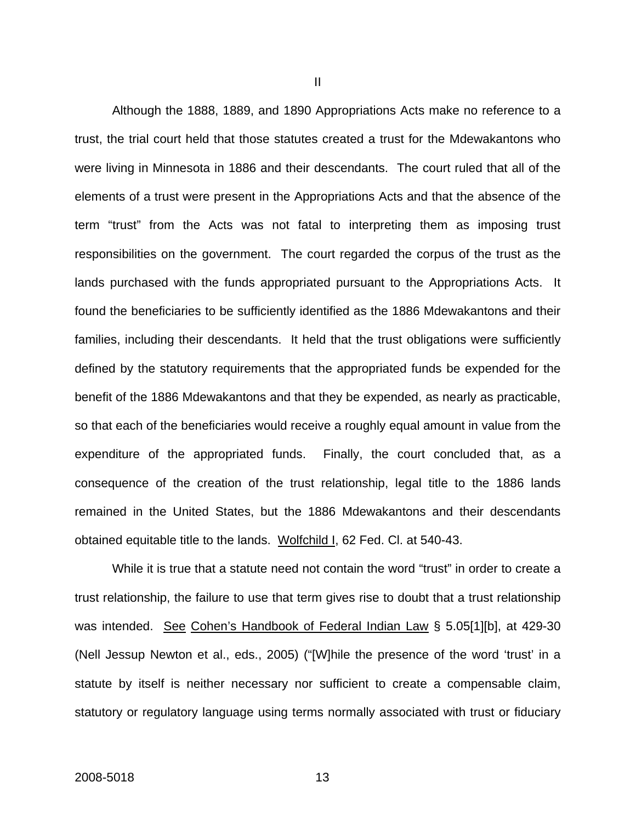Although the 1888, 1889, and 1890 Appropriations Acts make no reference to a trust, the trial court held that those statutes created a trust for the Mdewakantons who were living in Minnesota in 1886 and their descendants. The court ruled that all of the elements of a trust were present in the Appropriations Acts and that the absence of the term "trust" from the Acts was not fatal to interpreting them as imposing trust responsibilities on the government. The court regarded the corpus of the trust as the lands purchased with the funds appropriated pursuant to the Appropriations Acts. It found the beneficiaries to be sufficiently identified as the 1886 Mdewakantons and their families, including their descendants. It held that the trust obligations were sufficiently defined by the statutory requirements that the appropriated funds be expended for the benefit of the 1886 Mdewakantons and that they be expended, as nearly as practicable, so that each of the beneficiaries would receive a roughly equal amount in value from the expenditure of the appropriated funds. Finally, the court concluded that, as a consequence of the creation of the trust relationship, legal title to the 1886 lands remained in the United States, but the 1886 Mdewakantons and their descendants obtained equitable title to the lands. Wolfchild I, 62 Fed. Cl. at 540-43.

 While it is true that a statute need not contain the word "trust" in order to create a trust relationship, the failure to use that term gives rise to doubt that a trust relationship was intended. See Cohen's Handbook of Federal Indian Law § 5.05[1][b], at 429-30 (Nell Jessup Newton et al., eds., 2005) ("[W]hile the presence of the word 'trust' in a statute by itself is neither necessary nor sufficient to create a compensable claim, statutory or regulatory language using terms normally associated with trust or fiduciary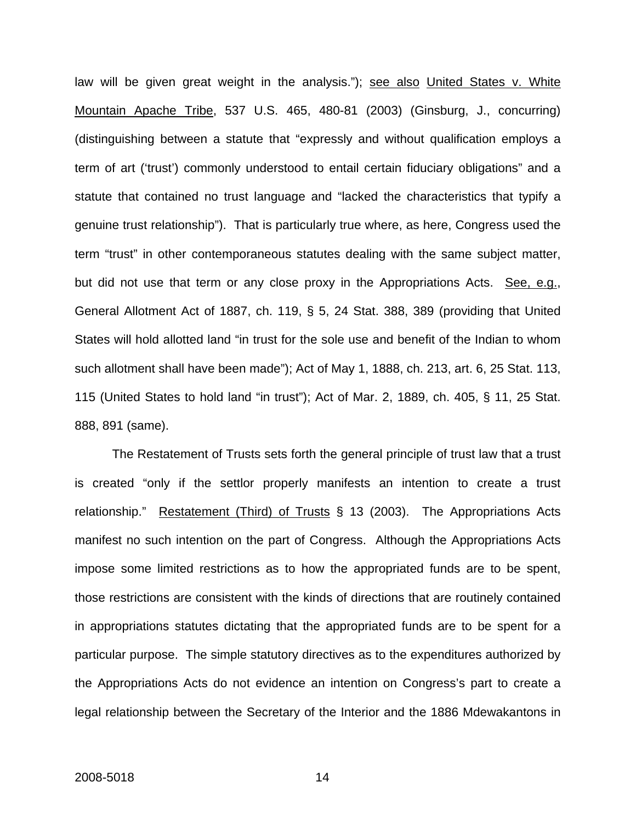law will be given great weight in the analysis."); see also United States v. White Mountain Apache Tribe, 537 U.S. 465, 480-81 (2003) (Ginsburg, J., concurring) (distinguishing between a statute that "expressly and without qualification employs a term of art ('trust') commonly understood to entail certain fiduciary obligations" and a statute that contained no trust language and "lacked the characteristics that typify a genuine trust relationship"). That is particularly true where, as here, Congress used the term "trust" in other contemporaneous statutes dealing with the same subject matter, but did not use that term or any close proxy in the Appropriations Acts. See, e.g., General Allotment Act of 1887, ch. 119, § 5, 24 Stat. 388, 389 (providing that United States will hold allotted land "in trust for the sole use and benefit of the Indian to whom such allotment shall have been made"); Act of May 1, 1888, ch. 213, art. 6, 25 Stat. 113, 115 (United States to hold land "in trust"); Act of Mar. 2, 1889, ch. 405, § 11, 25 Stat. 888, 891 (same).

 The Restatement of Trusts sets forth the general principle of trust law that a trust is created "only if the settlor properly manifests an intention to create a trust relationship." Restatement (Third) of Trusts § 13 (2003). The Appropriations Acts manifest no such intention on the part of Congress. Although the Appropriations Acts impose some limited restrictions as to how the appropriated funds are to be spent, those restrictions are consistent with the kinds of directions that are routinely contained in appropriations statutes dictating that the appropriated funds are to be spent for a particular purpose. The simple statutory directives as to the expenditures authorized by the Appropriations Acts do not evidence an intention on Congress's part to create a legal relationship between the Secretary of the Interior and the 1886 Mdewakantons in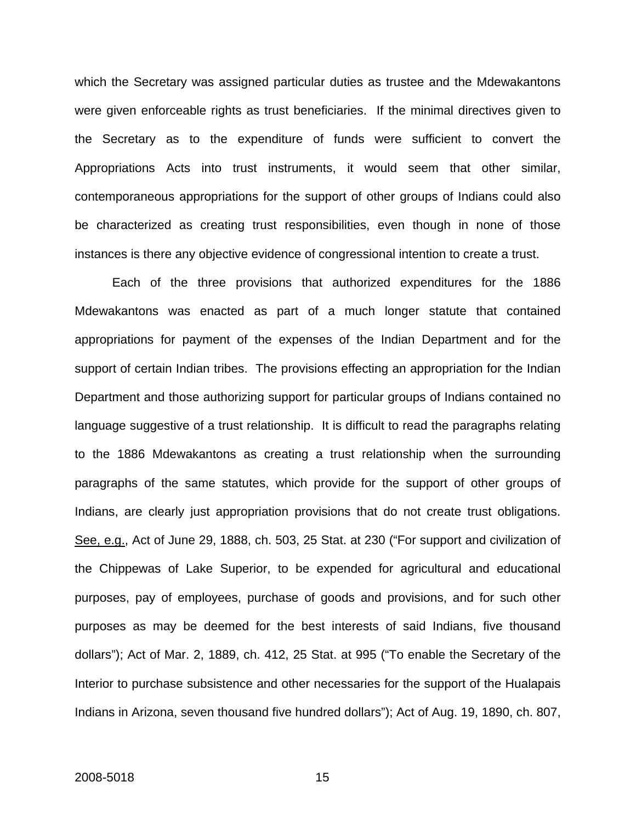which the Secretary was assigned particular duties as trustee and the Mdewakantons were given enforceable rights as trust beneficiaries. If the minimal directives given to the Secretary as to the expenditure of funds were sufficient to convert the Appropriations Acts into trust instruments, it would seem that other similar, contemporaneous appropriations for the support of other groups of Indians could also be characterized as creating trust responsibilities, even though in none of those instances is there any objective evidence of congressional intention to create a trust.

Each of the three provisions that authorized expenditures for the 1886 Mdewakantons was enacted as part of a much longer statute that contained appropriations for payment of the expenses of the Indian Department and for the support of certain Indian tribes. The provisions effecting an appropriation for the Indian Department and those authorizing support for particular groups of Indians contained no language suggestive of a trust relationship. It is difficult to read the paragraphs relating to the 1886 Mdewakantons as creating a trust relationship when the surrounding paragraphs of the same statutes, which provide for the support of other groups of Indians, are clearly just appropriation provisions that do not create trust obligations. See, e.g., Act of June 29, 1888, ch. 503, 25 Stat. at 230 ("For support and civilization of the Chippewas of Lake Superior, to be expended for agricultural and educational purposes, pay of employees, purchase of goods and provisions, and for such other purposes as may be deemed for the best interests of said Indians, five thousand dollars"); Act of Mar. 2, 1889, ch. 412, 25 Stat. at 995 ("To enable the Secretary of the Interior to purchase subsistence and other necessaries for the support of the Hualapais Indians in Arizona, seven thousand five hundred dollars"); Act of Aug. 19, 1890, ch. 807,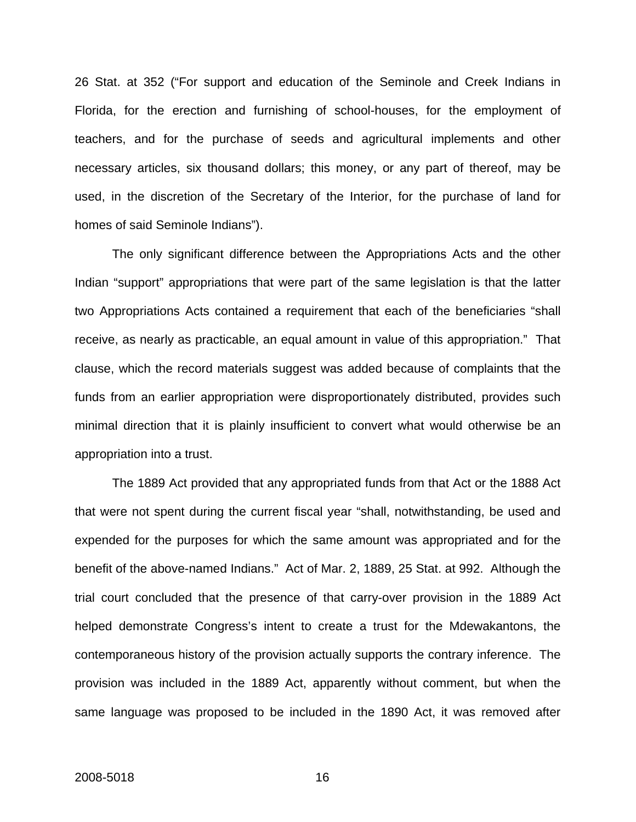26 Stat. at 352 ("For support and education of the Seminole and Creek Indians in Florida, for the erection and furnishing of school-houses, for the employment of teachers, and for the purchase of seeds and agricultural implements and other necessary articles, six thousand dollars; this money, or any part of thereof, may be used, in the discretion of the Secretary of the Interior, for the purchase of land for homes of said Seminole Indians").

The only significant difference between the Appropriations Acts and the other Indian "support" appropriations that were part of the same legislation is that the latter two Appropriations Acts contained a requirement that each of the beneficiaries "shall receive, as nearly as practicable, an equal amount in value of this appropriation." That clause, which the record materials suggest was added because of complaints that the funds from an earlier appropriation were disproportionately distributed, provides such minimal direction that it is plainly insufficient to convert what would otherwise be an appropriation into a trust.

The 1889 Act provided that any appropriated funds from that Act or the 1888 Act that were not spent during the current fiscal year "shall, notwithstanding, be used and expended for the purposes for which the same amount was appropriated and for the benefit of the above-named Indians." Act of Mar. 2, 1889, 25 Stat. at 992. Although the trial court concluded that the presence of that carry-over provision in the 1889 Act helped demonstrate Congress's intent to create a trust for the Mdewakantons, the contemporaneous history of the provision actually supports the contrary inference. The provision was included in the 1889 Act, apparently without comment, but when the same language was proposed to be included in the 1890 Act, it was removed after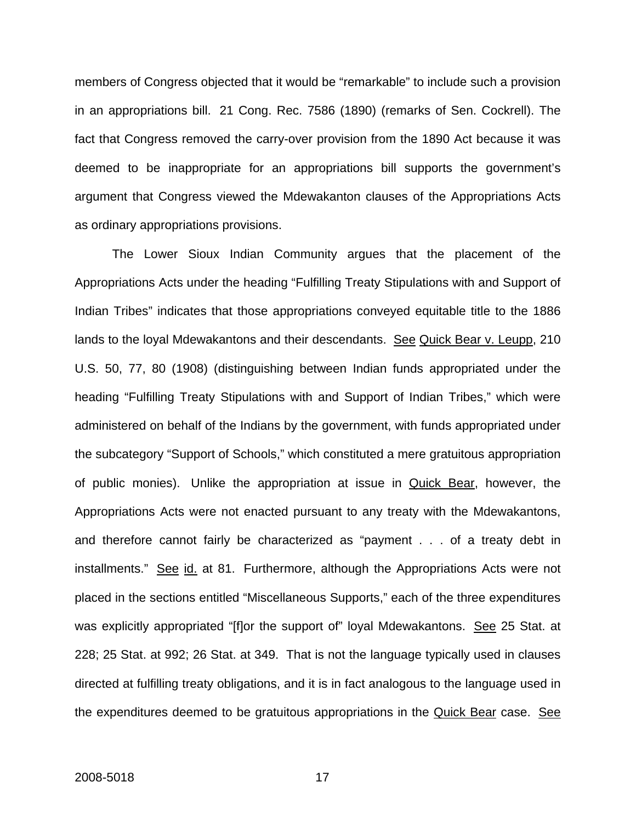members of Congress objected that it would be "remarkable" to include such a provision in an appropriations bill. 21 Cong. Rec. 7586 (1890) (remarks of Sen. Cockrell). The fact that Congress removed the carry-over provision from the 1890 Act because it was deemed to be inappropriate for an appropriations bill supports the government's argument that Congress viewed the Mdewakanton clauses of the Appropriations Acts as ordinary appropriations provisions.

The Lower Sioux Indian Community argues that the placement of the Appropriations Acts under the heading "Fulfilling Treaty Stipulations with and Support of Indian Tribes" indicates that those appropriations conveyed equitable title to the 1886 lands to the loyal Mdewakantons and their descendants. See Quick Bear v. Leupp, 210 U.S. 50, 77, 80 (1908) (distinguishing between Indian funds appropriated under the heading "Fulfilling Treaty Stipulations with and Support of Indian Tribes," which were administered on behalf of the Indians by the government, with funds appropriated under the subcategory "Support of Schools," which constituted a mere gratuitous appropriation of public monies). Unlike the appropriation at issue in Quick Bear, however, the Appropriations Acts were not enacted pursuant to any treaty with the Mdewakantons, and therefore cannot fairly be characterized as "payment . . . of a treaty debt in installments." See id. at 81. Furthermore, although the Appropriations Acts were not placed in the sections entitled "Miscellaneous Supports," each of the three expenditures was explicitly appropriated "[f]or the support of" loyal Mdewakantons. See 25 Stat. at 228; 25 Stat. at 992; 26 Stat. at 349. That is not the language typically used in clauses directed at fulfilling treaty obligations, and it is in fact analogous to the language used in the expenditures deemed to be gratuitous appropriations in the Quick Bear case. See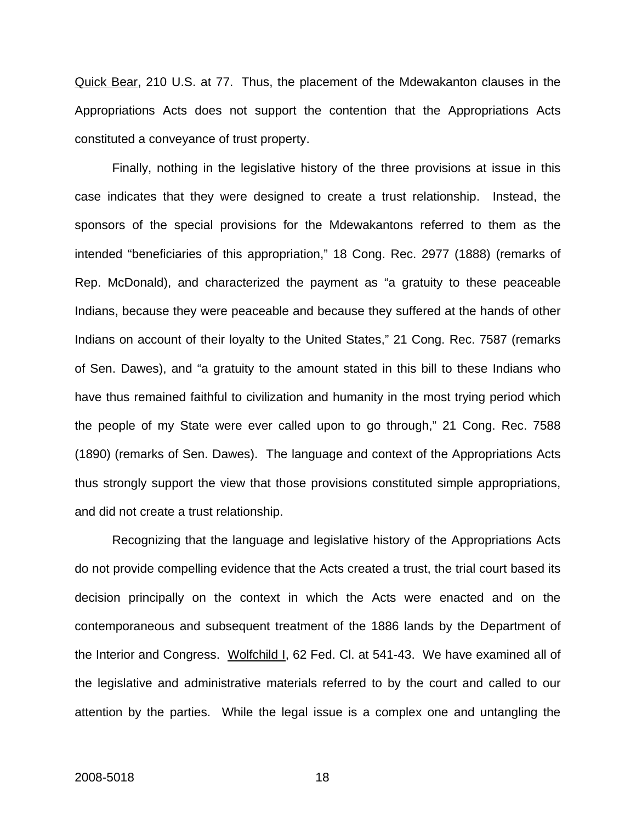Quick Bear, 210 U.S. at 77. Thus, the placement of the Mdewakanton clauses in the Appropriations Acts does not support the contention that the Appropriations Acts constituted a conveyance of trust property.

Finally, nothing in the legislative history of the three provisions at issue in this case indicates that they were designed to create a trust relationship. Instead, the sponsors of the special provisions for the Mdewakantons referred to them as the intended "beneficiaries of this appropriation," 18 Cong. Rec. 2977 (1888) (remarks of Rep. McDonald), and characterized the payment as "a gratuity to these peaceable Indians, because they were peaceable and because they suffered at the hands of other Indians on account of their loyalty to the United States," 21 Cong. Rec. 7587 (remarks of Sen. Dawes), and "a gratuity to the amount stated in this bill to these Indians who have thus remained faithful to civilization and humanity in the most trying period which the people of my State were ever called upon to go through," 21 Cong. Rec. 7588 (1890) (remarks of Sen. Dawes). The language and context of the Appropriations Acts thus strongly support the view that those provisions constituted simple appropriations, and did not create a trust relationship.

 Recognizing that the language and legislative history of the Appropriations Acts do not provide compelling evidence that the Acts created a trust, the trial court based its decision principally on the context in which the Acts were enacted and on the contemporaneous and subsequent treatment of the 1886 lands by the Department of the Interior and Congress. Wolfchild I, 62 Fed. Cl. at 541-43. We have examined all of the legislative and administrative materials referred to by the court and called to our attention by the parties. While the legal issue is a complex one and untangling the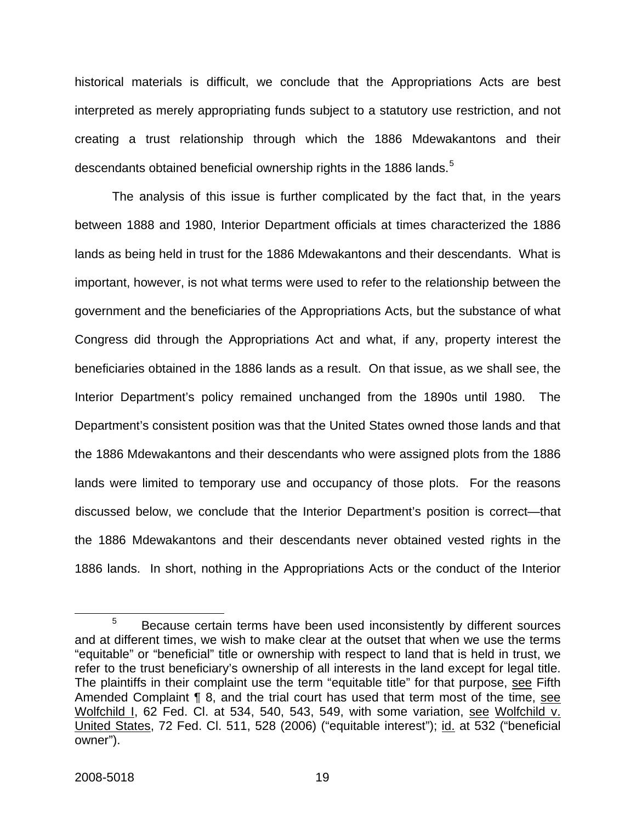historical materials is difficult, we conclude that the Appropriations Acts are best interpreted as merely appropriating funds subject to a statutory use restriction, and not creating a trust relationship through which the 1886 Mdewakantons and their descendants obtained beneficial ownership rights in the 1886 lands.<sup>[5](#page-24-0)</sup>

 The analysis of this issue is further complicated by the fact that, in the years between 1888 and 1980, Interior Department officials at times characterized the 1886 lands as being held in trust for the 1886 Mdewakantons and their descendants. What is important, however, is not what terms were used to refer to the relationship between the government and the beneficiaries of the Appropriations Acts, but the substance of what Congress did through the Appropriations Act and what, if any, property interest the beneficiaries obtained in the 1886 lands as a result. On that issue, as we shall see, the Interior Department's policy remained unchanged from the 1890s until 1980. The Department's consistent position was that the United States owned those lands and that the 1886 Mdewakantons and their descendants who were assigned plots from the 1886 lands were limited to temporary use and occupancy of those plots. For the reasons discussed below, we conclude that the Interior Department's position is correct—that the 1886 Mdewakantons and their descendants never obtained vested rights in the 1886 lands. In short, nothing in the Appropriations Acts or the conduct of the Interior

<span id="page-24-0"></span><sup>5</sup>  $5$  Because certain terms have been used inconsistently by different sources and at different times, we wish to make clear at the outset that when we use the terms "equitable" or "beneficial" title or ownership with respect to land that is held in trust, we refer to the trust beneficiary's ownership of all interests in the land except for legal title. The plaintiffs in their complaint use the term "equitable title" for that purpose, see Fifth Amended Complaint ¶ 8, and the trial court has used that term most of the time, see Wolfchild I, 62 Fed. Cl. at 534, 540, 543, 549, with some variation, see Wolfchild v. United States, 72 Fed. Cl. 511, 528 (2006) ("equitable interest"); id. at 532 ("beneficial owner").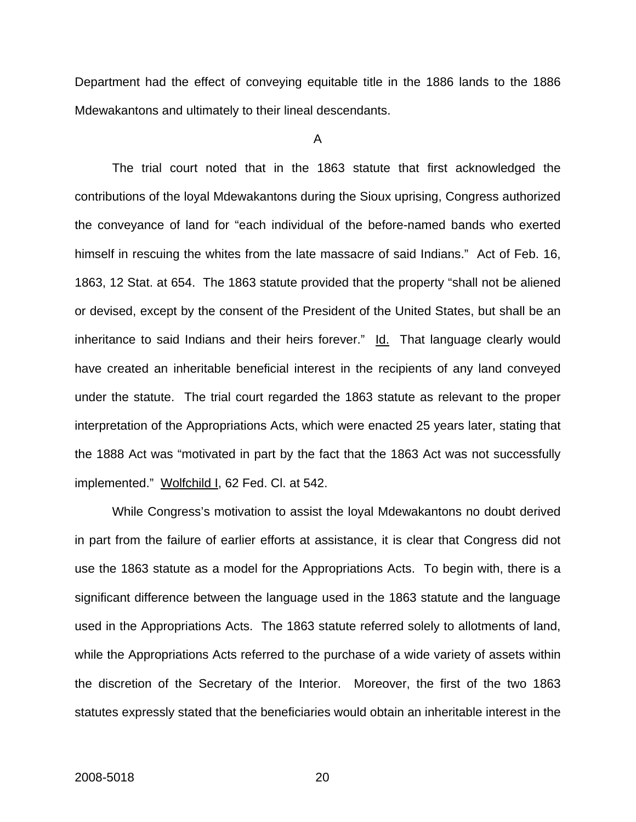Department had the effect of conveying equitable title in the 1886 lands to the 1886 Mdewakantons and ultimately to their lineal descendants.

A

 The trial court noted that in the 1863 statute that first acknowledged the contributions of the loyal Mdewakantons during the Sioux uprising, Congress authorized the conveyance of land for "each individual of the before-named bands who exerted himself in rescuing the whites from the late massacre of said Indians." Act of Feb. 16, 1863, 12 Stat. at 654. The 1863 statute provided that the property "shall not be aliened or devised, except by the consent of the President of the United States, but shall be an inheritance to said Indians and their heirs forever."  $\underline{Id}$ . That language clearly would have created an inheritable beneficial interest in the recipients of any land conveyed under the statute. The trial court regarded the 1863 statute as relevant to the proper interpretation of the Appropriations Acts, which were enacted 25 years later, stating that the 1888 Act was "motivated in part by the fact that the 1863 Act was not successfully implemented." Wolfchild I, 62 Fed. Cl. at 542.

 While Congress's motivation to assist the loyal Mdewakantons no doubt derived in part from the failure of earlier efforts at assistance, it is clear that Congress did not use the 1863 statute as a model for the Appropriations Acts. To begin with, there is a significant difference between the language used in the 1863 statute and the language used in the Appropriations Acts. The 1863 statute referred solely to allotments of land, while the Appropriations Acts referred to the purchase of a wide variety of assets within the discretion of the Secretary of the Interior. Moreover, the first of the two 1863 statutes expressly stated that the beneficiaries would obtain an inheritable interest in the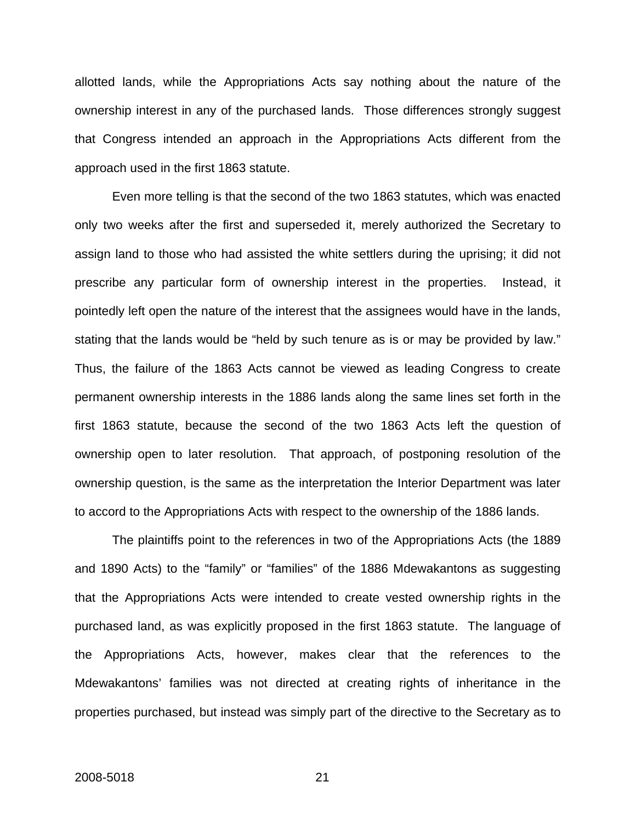allotted lands, while the Appropriations Acts say nothing about the nature of the ownership interest in any of the purchased lands. Those differences strongly suggest that Congress intended an approach in the Appropriations Acts different from the approach used in the first 1863 statute.

Even more telling is that the second of the two 1863 statutes, which was enacted only two weeks after the first and superseded it, merely authorized the Secretary to assign land to those who had assisted the white settlers during the uprising; it did not prescribe any particular form of ownership interest in the properties. Instead, it pointedly left open the nature of the interest that the assignees would have in the lands, stating that the lands would be "held by such tenure as is or may be provided by law." Thus, the failure of the 1863 Acts cannot be viewed as leading Congress to create permanent ownership interests in the 1886 lands along the same lines set forth in the first 1863 statute, because the second of the two 1863 Acts left the question of ownership open to later resolution. That approach, of postponing resolution of the ownership question, is the same as the interpretation the Interior Department was later to accord to the Appropriations Acts with respect to the ownership of the 1886 lands.

The plaintiffs point to the references in two of the Appropriations Acts (the 1889 and 1890 Acts) to the "family" or "families" of the 1886 Mdewakantons as suggesting that the Appropriations Acts were intended to create vested ownership rights in the purchased land, as was explicitly proposed in the first 1863 statute. The language of the Appropriations Acts, however, makes clear that the references to the Mdewakantons' families was not directed at creating rights of inheritance in the properties purchased, but instead was simply part of the directive to the Secretary as to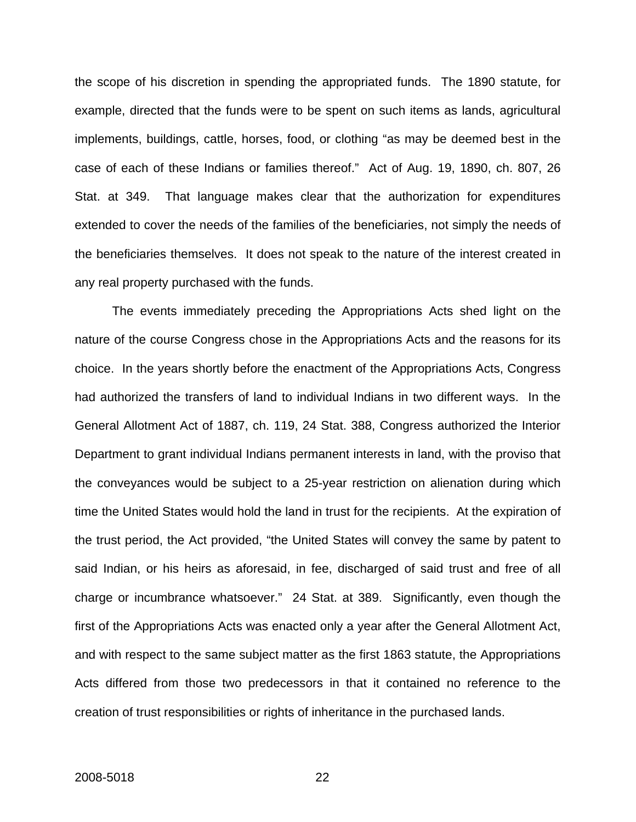the scope of his discretion in spending the appropriated funds. The 1890 statute, for example, directed that the funds were to be spent on such items as lands, agricultural implements, buildings, cattle, horses, food, or clothing "as may be deemed best in the case of each of these Indians or families thereof." Act of Aug. 19, 1890, ch. 807, 26 Stat. at 349. That language makes clear that the authorization for expenditures extended to cover the needs of the families of the beneficiaries, not simply the needs of the beneficiaries themselves. It does not speak to the nature of the interest created in any real property purchased with the funds.

 The events immediately preceding the Appropriations Acts shed light on the nature of the course Congress chose in the Appropriations Acts and the reasons for its choice. In the years shortly before the enactment of the Appropriations Acts, Congress had authorized the transfers of land to individual Indians in two different ways. In the General Allotment Act of 1887, ch. 119, 24 Stat. 388, Congress authorized the Interior Department to grant individual Indians permanent interests in land, with the proviso that the conveyances would be subject to a 25-year restriction on alienation during which time the United States would hold the land in trust for the recipients. At the expiration of the trust period, the Act provided, "the United States will convey the same by patent to said Indian, or his heirs as aforesaid, in fee, discharged of said trust and free of all charge or incumbrance whatsoever." 24 Stat. at 389. Significantly, even though the first of the Appropriations Acts was enacted only a year after the General Allotment Act, and with respect to the same subject matter as the first 1863 statute, the Appropriations Acts differed from those two predecessors in that it contained no reference to the creation of trust responsibilities or rights of inheritance in the purchased lands.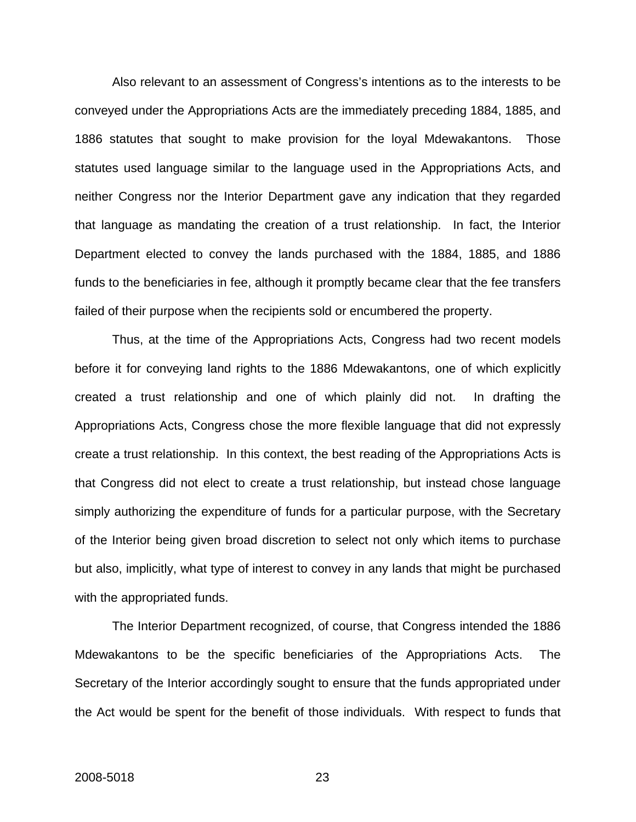Also relevant to an assessment of Congress's intentions as to the interests to be conveyed under the Appropriations Acts are the immediately preceding 1884, 1885, and 1886 statutes that sought to make provision for the loyal Mdewakantons. Those statutes used language similar to the language used in the Appropriations Acts, and neither Congress nor the Interior Department gave any indication that they regarded that language as mandating the creation of a trust relationship. In fact, the Interior Department elected to convey the lands purchased with the 1884, 1885, and 1886 funds to the beneficiaries in fee, although it promptly became clear that the fee transfers failed of their purpose when the recipients sold or encumbered the property.

Thus, at the time of the Appropriations Acts, Congress had two recent models before it for conveying land rights to the 1886 Mdewakantons, one of which explicitly created a trust relationship and one of which plainly did not. In drafting the Appropriations Acts, Congress chose the more flexible language that did not expressly create a trust relationship. In this context, the best reading of the Appropriations Acts is that Congress did not elect to create a trust relationship, but instead chose language simply authorizing the expenditure of funds for a particular purpose, with the Secretary of the Interior being given broad discretion to select not only which items to purchase but also, implicitly, what type of interest to convey in any lands that might be purchased with the appropriated funds.

The Interior Department recognized, of course, that Congress intended the 1886 Mdewakantons to be the specific beneficiaries of the Appropriations Acts. The Secretary of the Interior accordingly sought to ensure that the funds appropriated under the Act would be spent for the benefit of those individuals. With respect to funds that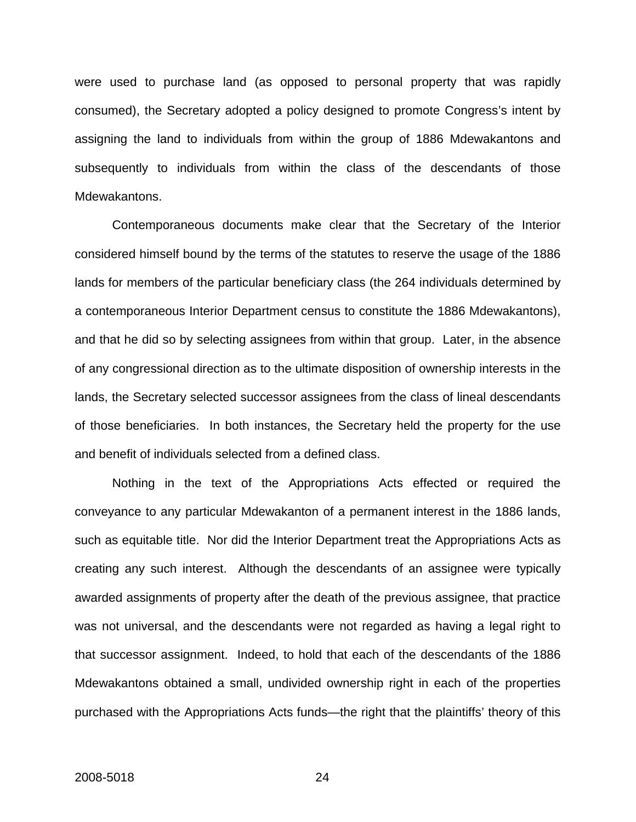were used to purchase land (as opposed to personal property that was rapidly consumed), the Secretary adopted a policy designed to promote Congress's intent by assigning the land to individuals from within the group of 1886 Mdewakantons and subsequently to individuals from within the class of the descendants of those Mdewakantons.

Contemporaneous documents make clear that the Secretary of the Interior considered himself bound by the terms of the statutes to reserve the usage of the 1886 lands for members of the particular beneficiary class (the 264 individuals determined by a contemporaneous Interior Department census to constitute the 1886 Mdewakantons), and that he did so by selecting assignees from within that group. Later, in the absence of any congressional direction as to the ultimate disposition of ownership interests in the lands, the Secretary selected successor assignees from the class of lineal descendants of those beneficiaries. In both instances, the Secretary held the property for the use and benefit of individuals selected from a defined class.

Nothing in the text of the Appropriations Acts effected or required the conveyance to any particular Mdewakanton of a permanent interest in the 1886 lands, such as equitable title. Nor did the Interior Department treat the Appropriations Acts as creating any such interest. Although the descendants of an assignee were typically awarded assignments of property after the death of the previous assignee, that practice was not universal, and the descendants were not regarded as having a legal right to that successor assignment. Indeed, to hold that each of the descendants of the 1886 Mdewakantons obtained a small, undivided ownership right in each of the properties purchased with the Appropriations Acts funds—the right that the plaintiffs' theory of this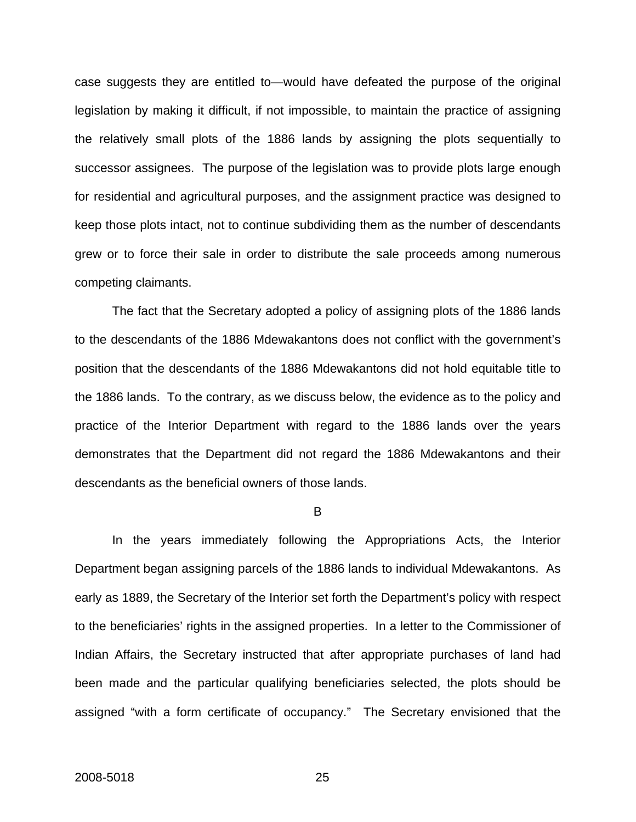case suggests they are entitled to—would have defeated the purpose of the original legislation by making it difficult, if not impossible, to maintain the practice of assigning the relatively small plots of the 1886 lands by assigning the plots sequentially to successor assignees. The purpose of the legislation was to provide plots large enough for residential and agricultural purposes, and the assignment practice was designed to keep those plots intact, not to continue subdividing them as the number of descendants grew or to force their sale in order to distribute the sale proceeds among numerous competing claimants.

The fact that the Secretary adopted a policy of assigning plots of the 1886 lands to the descendants of the 1886 Mdewakantons does not conflict with the government's position that the descendants of the 1886 Mdewakantons did not hold equitable title to the 1886 lands. To the contrary, as we discuss below, the evidence as to the policy and practice of the Interior Department with regard to the 1886 lands over the years demonstrates that the Department did not regard the 1886 Mdewakantons and their descendants as the beneficial owners of those lands.

B

In the years immediately following the Appropriations Acts, the Interior Department began assigning parcels of the 1886 lands to individual Mdewakantons. As early as 1889, the Secretary of the Interior set forth the Department's policy with respect to the beneficiaries' rights in the assigned properties. In a letter to the Commissioner of Indian Affairs, the Secretary instructed that after appropriate purchases of land had been made and the particular qualifying beneficiaries selected, the plots should be assigned "with a form certificate of occupancy." The Secretary envisioned that the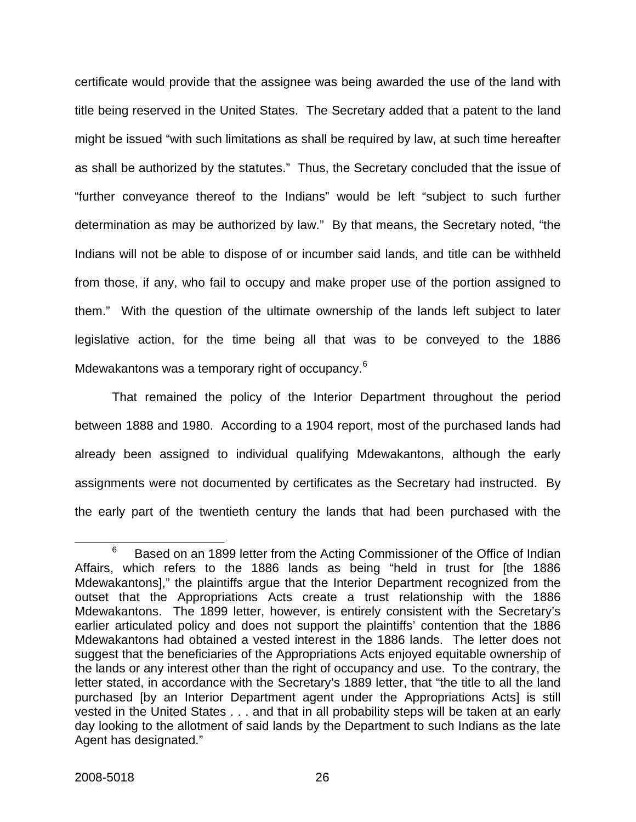certificate would provide that the assignee was being awarded the use of the land with title being reserved in the United States. The Secretary added that a patent to the land might be issued "with such limitations as shall be required by law, at such time hereafter as shall be authorized by the statutes." Thus, the Secretary concluded that the issue of "further conveyance thereof to the Indians" would be left "subject to such further determination as may be authorized by law." By that means, the Secretary noted, "the Indians will not be able to dispose of or incumber said lands, and title can be withheld from those, if any, who fail to occupy and make proper use of the portion assigned to them." With the question of the ultimate ownership of the lands left subject to later legislative action, for the time being all that was to be conveyed to the 1886 Mdewakantons was a temporary right of occupancy.<sup>[6](#page-31-0)</sup>

That remained the policy of the Interior Department throughout the period between 1888 and 1980. According to a 1904 report, most of the purchased lands had already been assigned to individual qualifying Mdewakantons, although the early assignments were not documented by certificates as the Secretary had instructed. By the early part of the twentieth century the lands that had been purchased with the

<span id="page-31-0"></span><sup>6</sup>  $6$  Based on an 1899 letter from the Acting Commissioner of the Office of Indian Affairs, which refers to the 1886 lands as being "held in trust for [the 1886 Mdewakantons]," the plaintiffs argue that the Interior Department recognized from the outset that the Appropriations Acts create a trust relationship with the 1886 Mdewakantons. The 1899 letter, however, is entirely consistent with the Secretary's earlier articulated policy and does not support the plaintiffs' contention that the 1886 Mdewakantons had obtained a vested interest in the 1886 lands. The letter does not suggest that the beneficiaries of the Appropriations Acts enjoyed equitable ownership of the lands or any interest other than the right of occupancy and use. To the contrary, the letter stated, in accordance with the Secretary's 1889 letter, that "the title to all the land purchased [by an Interior Department agent under the Appropriations Acts] is still vested in the United States . . . and that in all probability steps will be taken at an early day looking to the allotment of said lands by the Department to such Indians as the late Agent has designated."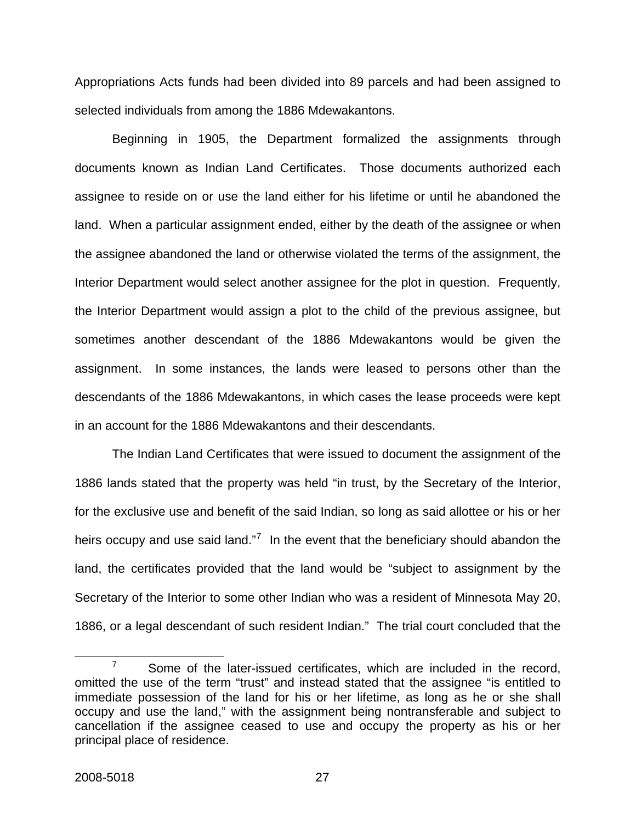Appropriations Acts funds had been divided into 89 parcels and had been assigned to selected individuals from among the 1886 Mdewakantons.

Beginning in 1905, the Department formalized the assignments through documents known as Indian Land Certificates. Those documents authorized each assignee to reside on or use the land either for his lifetime or until he abandoned the land. When a particular assignment ended, either by the death of the assignee or when the assignee abandoned the land or otherwise violated the terms of the assignment, the Interior Department would select another assignee for the plot in question. Frequently, the Interior Department would assign a plot to the child of the previous assignee, but sometimes another descendant of the 1886 Mdewakantons would be given the assignment. In some instances, the lands were leased to persons other than the descendants of the 1886 Mdewakantons, in which cases the lease proceeds were kept in an account for the 1886 Mdewakantons and their descendants.

The Indian Land Certificates that were issued to document the assignment of the 1886 lands stated that the property was held "in trust, by the Secretary of the Interior, for the exclusive use and benefit of the said Indian, so long as said allottee or his or her heirs occupy and use said land."<sup>[7](#page-32-0)</sup> In the event that the beneficiary should abandon the land, the certificates provided that the land would be "subject to assignment by the Secretary of the Interior to some other Indian who was a resident of Minnesota May 20, 1886, or a legal descendant of such resident Indian." The trial court concluded that the

<span id="page-32-0"></span> $\overline{7}$  $\frac{7}{10}$  Some of the later-issued certificates, which are included in the record, omitted the use of the term "trust" and instead stated that the assignee "is entitled to immediate possession of the land for his or her lifetime, as long as he or she shall occupy and use the land," with the assignment being nontransferable and subject to cancellation if the assignee ceased to use and occupy the property as his or her principal place of residence.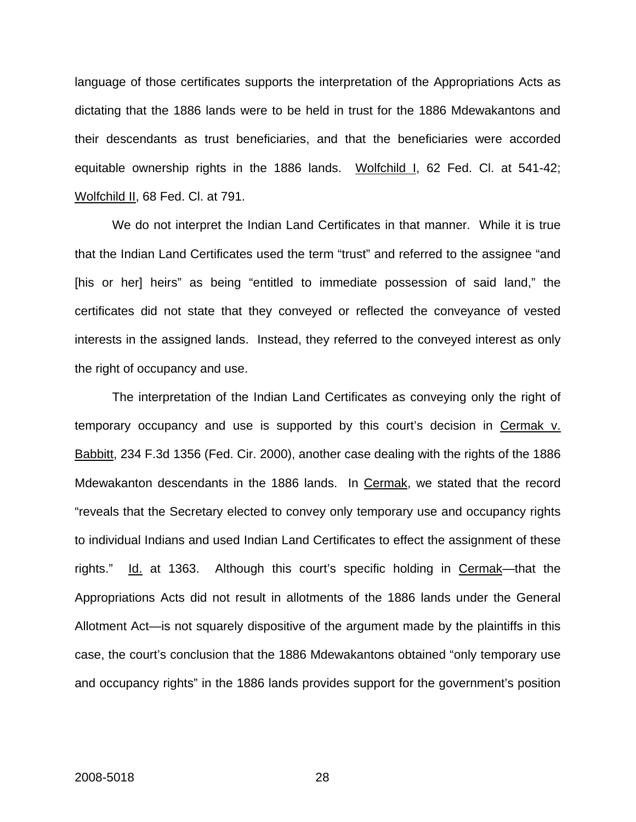language of those certificates supports the interpretation of the Appropriations Acts as dictating that the 1886 lands were to be held in trust for the 1886 Mdewakantons and their descendants as trust beneficiaries, and that the beneficiaries were accorded equitable ownership rights in the 1886 lands. Wolfchild I, 62 Fed. Cl. at 541-42; Wolfchild II, 68 Fed. Cl. at 791.

We do not interpret the Indian Land Certificates in that manner. While it is true that the Indian Land Certificates used the term "trust" and referred to the assignee "and [his or her] heirs" as being "entitled to immediate possession of said land," the certificates did not state that they conveyed or reflected the conveyance of vested interests in the assigned lands. Instead, they referred to the conveyed interest as only the right of occupancy and use.

The interpretation of the Indian Land Certificates as conveying only the right of temporary occupancy and use is supported by this court's decision in Cermak v. Babbitt, 234 F.3d 1356 (Fed. Cir. 2000), another case dealing with the rights of the 1886 Mdewakanton descendants in the 1886 lands. In Cermak, we stated that the record "reveals that the Secretary elected to convey only temporary use and occupancy rights to individual Indians and used Indian Land Certificates to effect the assignment of these rights." Id. at 1363. Although this court's specific holding in Cermak—that the Appropriations Acts did not result in allotments of the 1886 lands under the General Allotment Act—is not squarely dispositive of the argument made by the plaintiffs in this case, the court's conclusion that the 1886 Mdewakantons obtained "only temporary use and occupancy rights" in the 1886 lands provides support for the government's position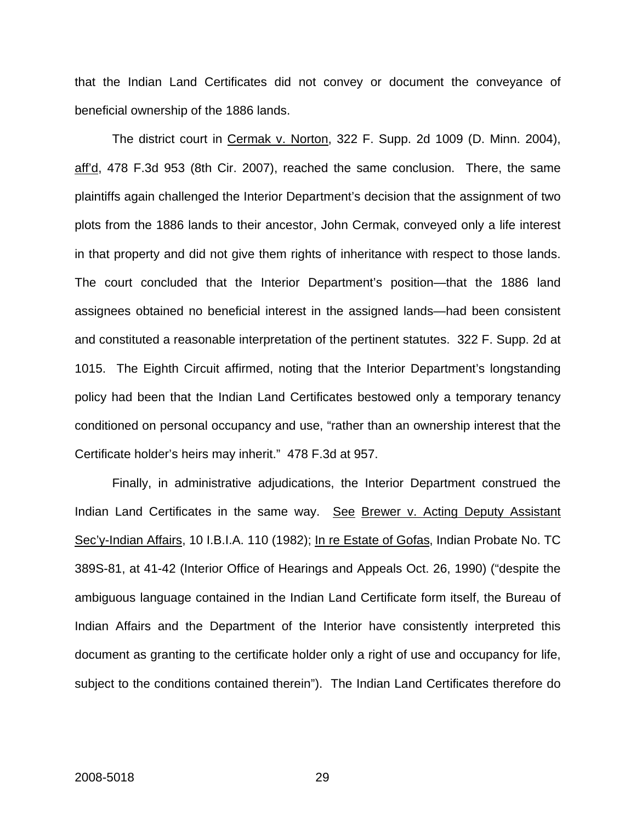that the Indian Land Certificates did not convey or document the conveyance of beneficial ownership of the 1886 lands.

The district court in Cermak v. Norton, 322 F. Supp. 2d 1009 (D. Minn. 2004), aff'd, 478 F.3d 953 (8th Cir. 2007), reached the same conclusion. There, the same plaintiffs again challenged the Interior Department's decision that the assignment of two plots from the 1886 lands to their ancestor, John Cermak, conveyed only a life interest in that property and did not give them rights of inheritance with respect to those lands. The court concluded that the Interior Department's position—that the 1886 land assignees obtained no beneficial interest in the assigned lands—had been consistent and constituted a reasonable interpretation of the pertinent statutes. 322 F. Supp. 2d at 1015. The Eighth Circuit affirmed, noting that the Interior Department's longstanding policy had been that the Indian Land Certificates bestowed only a temporary tenancy conditioned on personal occupancy and use, "rather than an ownership interest that the Certificate holder's heirs may inherit." 478 F.3d at 957.

Finally, in administrative adjudications, the Interior Department construed the Indian Land Certificates in the same way. See Brewer v. Acting Deputy Assistant Sec'y-Indian Affairs, 10 I.B.I.A. 110 (1982); In re Estate of Gofas, Indian Probate No. TC 389S-81, at 41-42 (Interior Office of Hearings and Appeals Oct. 26, 1990) ("despite the ambiguous language contained in the Indian Land Certificate form itself, the Bureau of Indian Affairs and the Department of the Interior have consistently interpreted this document as granting to the certificate holder only a right of use and occupancy for life, subject to the conditions contained therein"). The Indian Land Certificates therefore do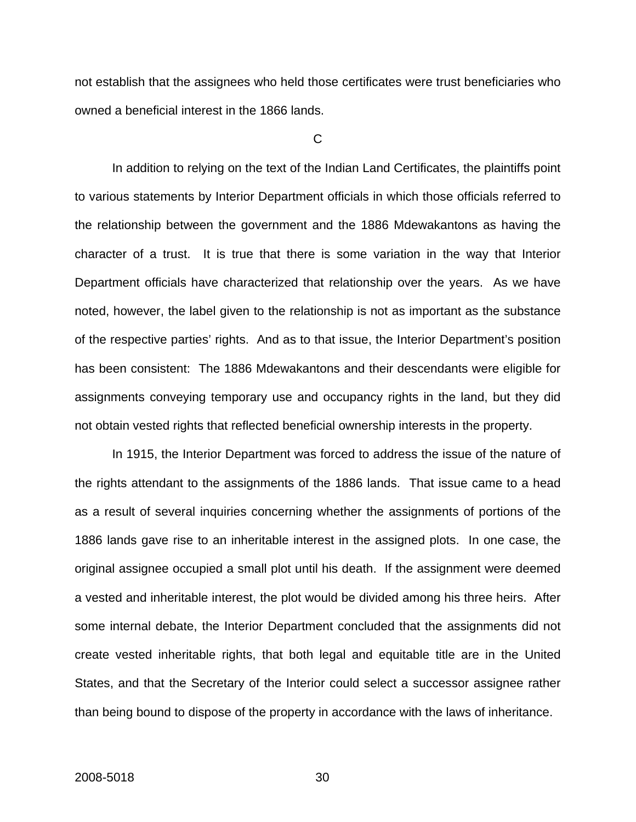not establish that the assignees who held those certificates were trust beneficiaries who owned a beneficial interest in the 1866 lands.

 $\mathsf{C}$ 

In addition to relying on the text of the Indian Land Certificates, the plaintiffs point to various statements by Interior Department officials in which those officials referred to the relationship between the government and the 1886 Mdewakantons as having the character of a trust. It is true that there is some variation in the way that Interior Department officials have characterized that relationship over the years. As we have noted, however, the label given to the relationship is not as important as the substance of the respective parties' rights. And as to that issue, the Interior Department's position has been consistent: The 1886 Mdewakantons and their descendants were eligible for assignments conveying temporary use and occupancy rights in the land, but they did not obtain vested rights that reflected beneficial ownership interests in the property.

In 1915, the Interior Department was forced to address the issue of the nature of the rights attendant to the assignments of the 1886 lands. That issue came to a head as a result of several inquiries concerning whether the assignments of portions of the 1886 lands gave rise to an inheritable interest in the assigned plots. In one case, the original assignee occupied a small plot until his death. If the assignment were deemed a vested and inheritable interest, the plot would be divided among his three heirs. After some internal debate, the Interior Department concluded that the assignments did not create vested inheritable rights, that both legal and equitable title are in the United States, and that the Secretary of the Interior could select a successor assignee rather than being bound to dispose of the property in accordance with the laws of inheritance.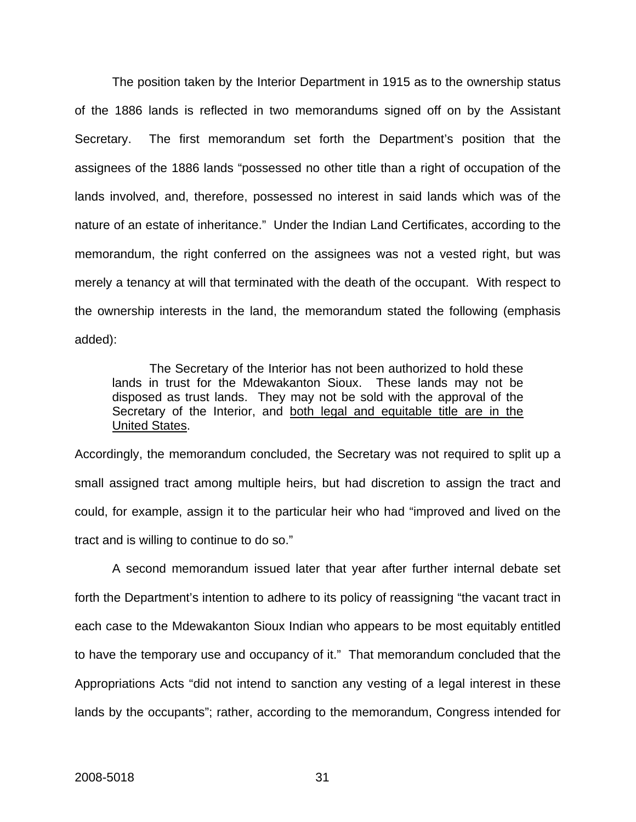The position taken by the Interior Department in 1915 as to the ownership status of the 1886 lands is reflected in two memorandums signed off on by the Assistant Secretary. The first memorandum set forth the Department's position that the assignees of the 1886 lands "possessed no other title than a right of occupation of the lands involved, and, therefore, possessed no interest in said lands which was of the nature of an estate of inheritance." Under the Indian Land Certificates, according to the memorandum, the right conferred on the assignees was not a vested right, but was merely a tenancy at will that terminated with the death of the occupant. With respect to the ownership interests in the land, the memorandum stated the following (emphasis added):

 The Secretary of the Interior has not been authorized to hold these lands in trust for the Mdewakanton Sioux. These lands may not be disposed as trust lands. They may not be sold with the approval of the Secretary of the Interior, and both legal and equitable title are in the United States.

Accordingly, the memorandum concluded, the Secretary was not required to split up a small assigned tract among multiple heirs, but had discretion to assign the tract and could, for example, assign it to the particular heir who had "improved and lived on the tract and is willing to continue to do so."

 A second memorandum issued later that year after further internal debate set forth the Department's intention to adhere to its policy of reassigning "the vacant tract in each case to the Mdewakanton Sioux Indian who appears to be most equitably entitled to have the temporary use and occupancy of it." That memorandum concluded that the Appropriations Acts "did not intend to sanction any vesting of a legal interest in these lands by the occupants"; rather, according to the memorandum, Congress intended for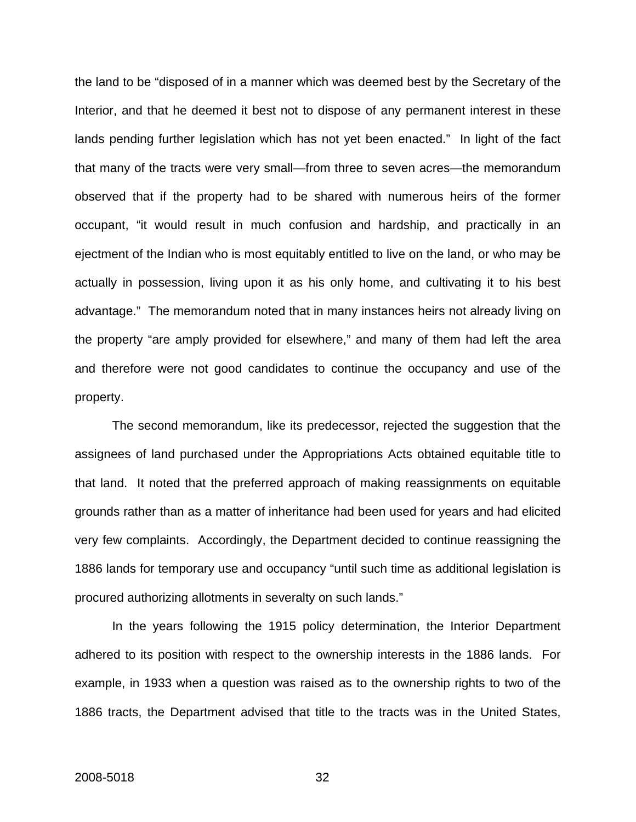the land to be "disposed of in a manner which was deemed best by the Secretary of the Interior, and that he deemed it best not to dispose of any permanent interest in these lands pending further legislation which has not yet been enacted." In light of the fact that many of the tracts were very small—from three to seven acres—the memorandum observed that if the property had to be shared with numerous heirs of the former occupant, "it would result in much confusion and hardship, and practically in an ejectment of the Indian who is most equitably entitled to live on the land, or who may be actually in possession, living upon it as his only home, and cultivating it to his best advantage." The memorandum noted that in many instances heirs not already living on the property "are amply provided for elsewhere," and many of them had left the area and therefore were not good candidates to continue the occupancy and use of the property.

The second memorandum, like its predecessor, rejected the suggestion that the assignees of land purchased under the Appropriations Acts obtained equitable title to that land. It noted that the preferred approach of making reassignments on equitable grounds rather than as a matter of inheritance had been used for years and had elicited very few complaints. Accordingly, the Department decided to continue reassigning the 1886 lands for temporary use and occupancy "until such time as additional legislation is procured authorizing allotments in severalty on such lands."

In the years following the 1915 policy determination, the Interior Department adhered to its position with respect to the ownership interests in the 1886 lands. For example, in 1933 when a question was raised as to the ownership rights to two of the 1886 tracts, the Department advised that title to the tracts was in the United States,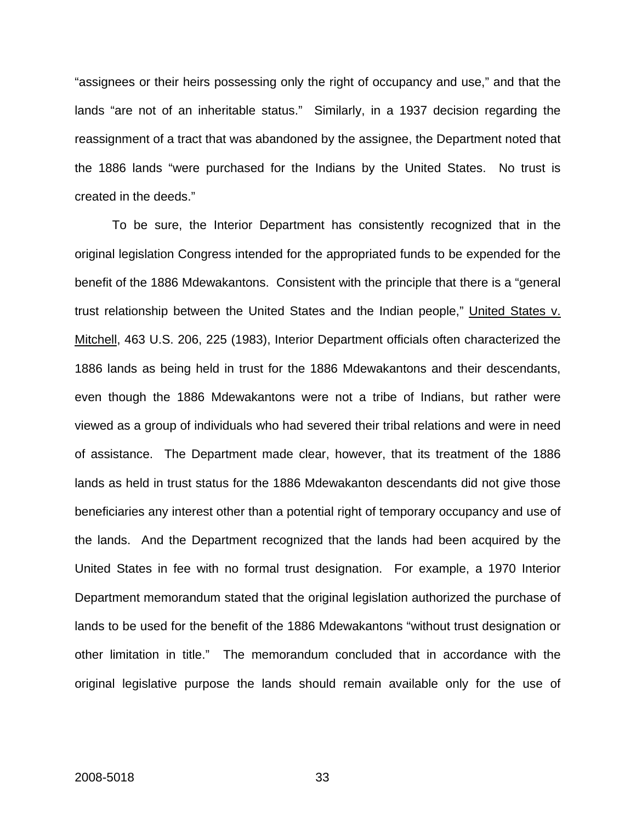"assignees or their heirs possessing only the right of occupancy and use," and that the lands "are not of an inheritable status." Similarly, in a 1937 decision regarding the reassignment of a tract that was abandoned by the assignee, the Department noted that the 1886 lands "were purchased for the Indians by the United States. No trust is created in the deeds."

To be sure, the Interior Department has consistently recognized that in the original legislation Congress intended for the appropriated funds to be expended for the benefit of the 1886 Mdewakantons. Consistent with the principle that there is a "general trust relationship between the United States and the Indian people," United States v. Mitchell, 463 U.S. 206, 225 (1983), Interior Department officials often characterized the 1886 lands as being held in trust for the 1886 Mdewakantons and their descendants, even though the 1886 Mdewakantons were not a tribe of Indians, but rather were viewed as a group of individuals who had severed their tribal relations and were in need of assistance. The Department made clear, however, that its treatment of the 1886 lands as held in trust status for the 1886 Mdewakanton descendants did not give those beneficiaries any interest other than a potential right of temporary occupancy and use of the lands. And the Department recognized that the lands had been acquired by the United States in fee with no formal trust designation. For example, a 1970 Interior Department memorandum stated that the original legislation authorized the purchase of lands to be used for the benefit of the 1886 Mdewakantons "without trust designation or other limitation in title." The memorandum concluded that in accordance with the original legislative purpose the lands should remain available only for the use of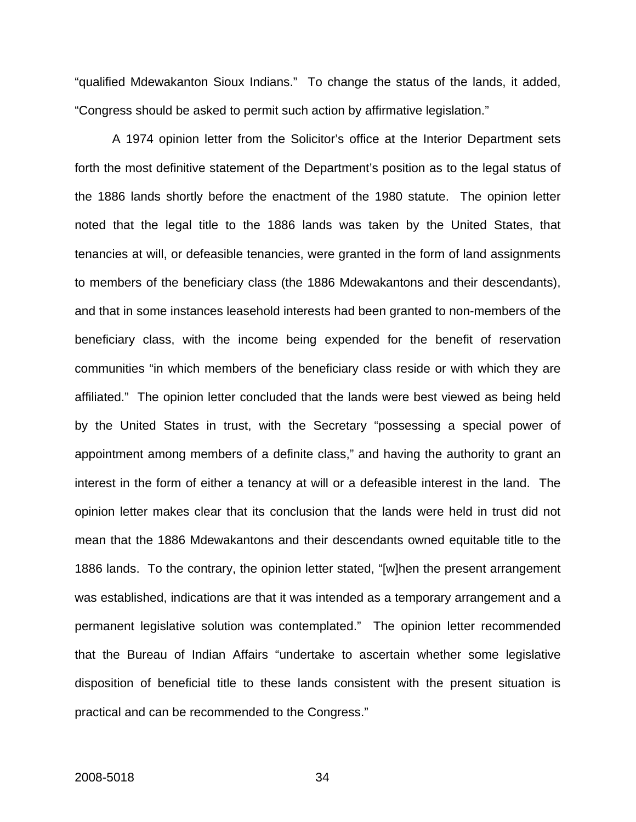"qualified Mdewakanton Sioux Indians." To change the status of the lands, it added, "Congress should be asked to permit such action by affirmative legislation."

A 1974 opinion letter from the Solicitor's office at the Interior Department sets forth the most definitive statement of the Department's position as to the legal status of the 1886 lands shortly before the enactment of the 1980 statute. The opinion letter noted that the legal title to the 1886 lands was taken by the United States, that tenancies at will, or defeasible tenancies, were granted in the form of land assignments to members of the beneficiary class (the 1886 Mdewakantons and their descendants), and that in some instances leasehold interests had been granted to non-members of the beneficiary class, with the income being expended for the benefit of reservation communities "in which members of the beneficiary class reside or with which they are affiliated." The opinion letter concluded that the lands were best viewed as being held by the United States in trust, with the Secretary "possessing a special power of appointment among members of a definite class," and having the authority to grant an interest in the form of either a tenancy at will or a defeasible interest in the land. The opinion letter makes clear that its conclusion that the lands were held in trust did not mean that the 1886 Mdewakantons and their descendants owned equitable title to the 1886 lands. To the contrary, the opinion letter stated, "[w]hen the present arrangement was established, indications are that it was intended as a temporary arrangement and a permanent legislative solution was contemplated." The opinion letter recommended that the Bureau of Indian Affairs "undertake to ascertain whether some legislative disposition of beneficial title to these lands consistent with the present situation is practical and can be recommended to the Congress."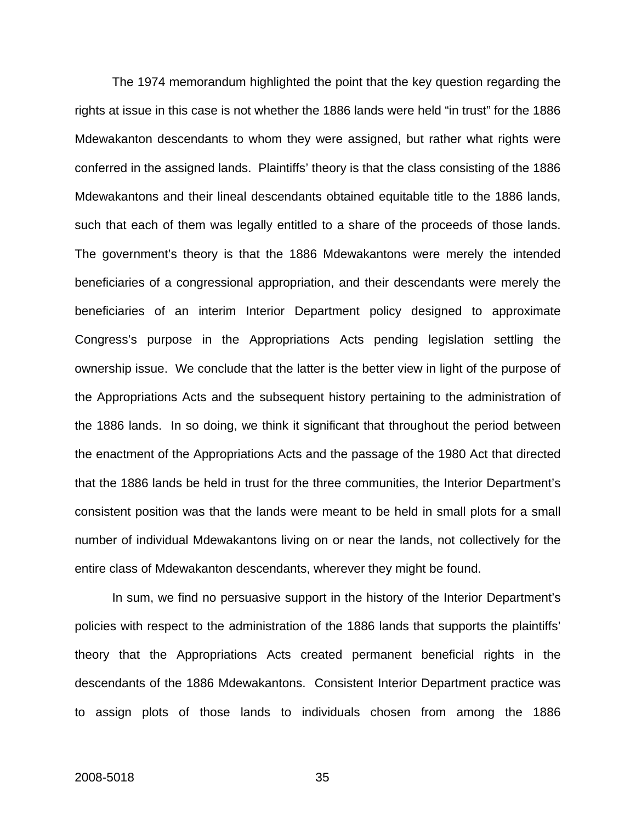The 1974 memorandum highlighted the point that the key question regarding the rights at issue in this case is not whether the 1886 lands were held "in trust" for the 1886 Mdewakanton descendants to whom they were assigned, but rather what rights were conferred in the assigned lands. Plaintiffs' theory is that the class consisting of the 1886 Mdewakantons and their lineal descendants obtained equitable title to the 1886 lands, such that each of them was legally entitled to a share of the proceeds of those lands. The government's theory is that the 1886 Mdewakantons were merely the intended beneficiaries of a congressional appropriation, and their descendants were merely the beneficiaries of an interim Interior Department policy designed to approximate Congress's purpose in the Appropriations Acts pending legislation settling the ownership issue. We conclude that the latter is the better view in light of the purpose of the Appropriations Acts and the subsequent history pertaining to the administration of the 1886 lands. In so doing, we think it significant that throughout the period between the enactment of the Appropriations Acts and the passage of the 1980 Act that directed that the 1886 lands be held in trust for the three communities, the Interior Department's consistent position was that the lands were meant to be held in small plots for a small number of individual Mdewakantons living on or near the lands, not collectively for the entire class of Mdewakanton descendants, wherever they might be found.

In sum, we find no persuasive support in the history of the Interior Department's policies with respect to the administration of the 1886 lands that supports the plaintiffs' theory that the Appropriations Acts created permanent beneficial rights in the descendants of the 1886 Mdewakantons. Consistent Interior Department practice was to assign plots of those lands to individuals chosen from among the 1886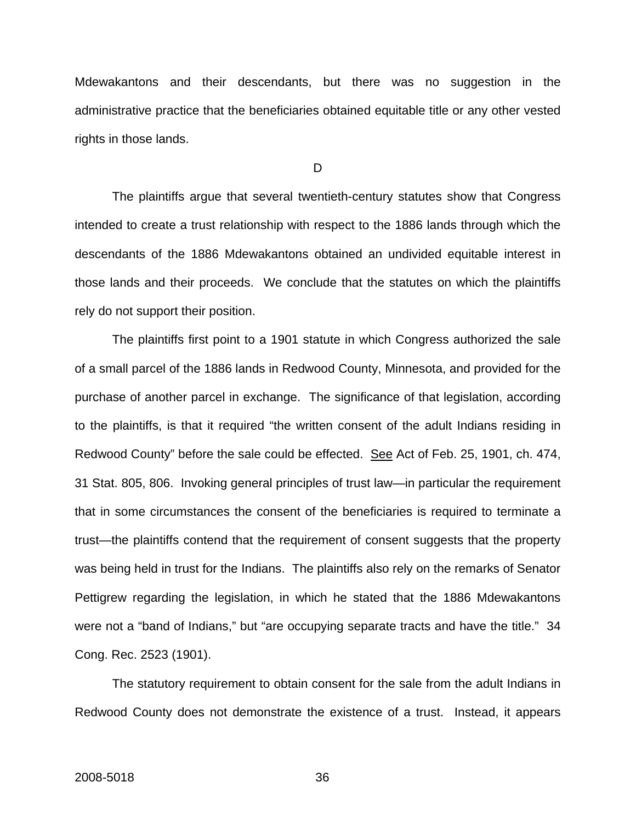Mdewakantons and their descendants, but there was no suggestion in the administrative practice that the beneficiaries obtained equitable title or any other vested rights in those lands.

D

 The plaintiffs argue that several twentieth-century statutes show that Congress intended to create a trust relationship with respect to the 1886 lands through which the descendants of the 1886 Mdewakantons obtained an undivided equitable interest in those lands and their proceeds. We conclude that the statutes on which the plaintiffs rely do not support their position.

 The plaintiffs first point to a 1901 statute in which Congress authorized the sale of a small parcel of the 1886 lands in Redwood County, Minnesota, and provided for the purchase of another parcel in exchange. The significance of that legislation, according to the plaintiffs, is that it required "the written consent of the adult Indians residing in Redwood County" before the sale could be effected. See Act of Feb. 25, 1901, ch. 474, 31 Stat. 805, 806. Invoking general principles of trust law—in particular the requirement that in some circumstances the consent of the beneficiaries is required to terminate a trust—the plaintiffs contend that the requirement of consent suggests that the property was being held in trust for the Indians. The plaintiffs also rely on the remarks of Senator Pettigrew regarding the legislation, in which he stated that the 1886 Mdewakantons were not a "band of Indians," but "are occupying separate tracts and have the title." 34 Cong. Rec. 2523 (1901).

 The statutory requirement to obtain consent for the sale from the adult Indians in Redwood County does not demonstrate the existence of a trust. Instead, it appears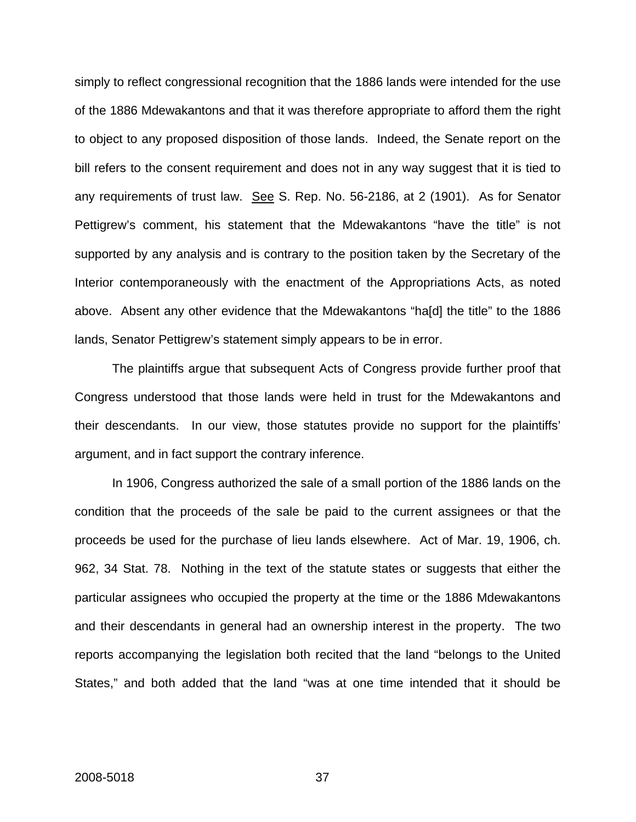simply to reflect congressional recognition that the 1886 lands were intended for the use of the 1886 Mdewakantons and that it was therefore appropriate to afford them the right to object to any proposed disposition of those lands. Indeed, the Senate report on the bill refers to the consent requirement and does not in any way suggest that it is tied to any requirements of trust law. See S. Rep. No. 56-2186, at 2 (1901). As for Senator Pettigrew's comment, his statement that the Mdewakantons "have the title" is not supported by any analysis and is contrary to the position taken by the Secretary of the Interior contemporaneously with the enactment of the Appropriations Acts, as noted above. Absent any other evidence that the Mdewakantons "ha[d] the title" to the 1886 lands, Senator Pettigrew's statement simply appears to be in error.

 The plaintiffs argue that subsequent Acts of Congress provide further proof that Congress understood that those lands were held in trust for the Mdewakantons and their descendants. In our view, those statutes provide no support for the plaintiffs' argument, and in fact support the contrary inference.

In 1906, Congress authorized the sale of a small portion of the 1886 lands on the condition that the proceeds of the sale be paid to the current assignees or that the proceeds be used for the purchase of lieu lands elsewhere. Act of Mar. 19, 1906, ch. 962, 34 Stat. 78. Nothing in the text of the statute states or suggests that either the particular assignees who occupied the property at the time or the 1886 Mdewakantons and their descendants in general had an ownership interest in the property. The two reports accompanying the legislation both recited that the land "belongs to the United States," and both added that the land "was at one time intended that it should be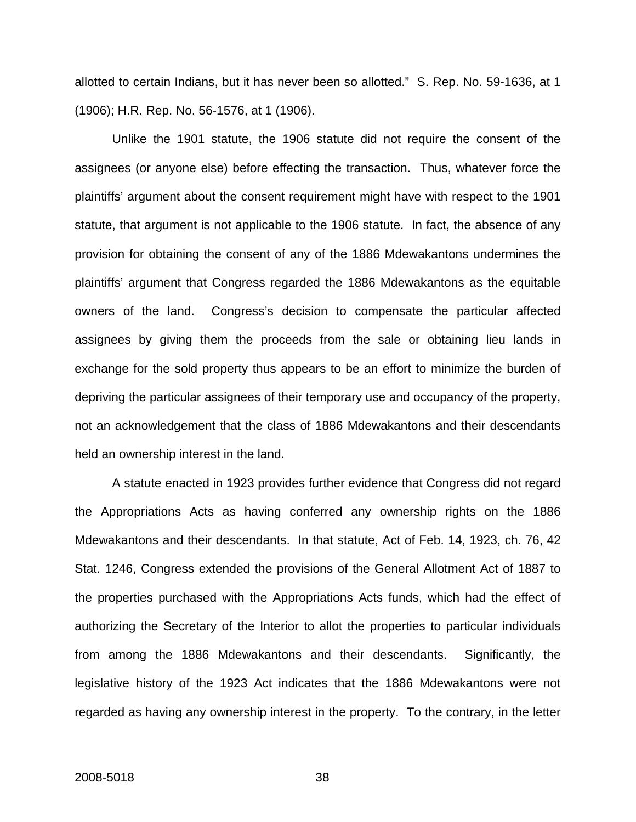allotted to certain Indians, but it has never been so allotted." S. Rep. No. 59-1636, at 1 (1906); H.R. Rep. No. 56-1576, at 1 (1906).

Unlike the 1901 statute, the 1906 statute did not require the consent of the assignees (or anyone else) before effecting the transaction. Thus, whatever force the plaintiffs' argument about the consent requirement might have with respect to the 1901 statute, that argument is not applicable to the 1906 statute. In fact, the absence of any provision for obtaining the consent of any of the 1886 Mdewakantons undermines the plaintiffs' argument that Congress regarded the 1886 Mdewakantons as the equitable owners of the land. Congress's decision to compensate the particular affected assignees by giving them the proceeds from the sale or obtaining lieu lands in exchange for the sold property thus appears to be an effort to minimize the burden of depriving the particular assignees of their temporary use and occupancy of the property, not an acknowledgement that the class of 1886 Mdewakantons and their descendants held an ownership interest in the land.

 A statute enacted in 1923 provides further evidence that Congress did not regard the Appropriations Acts as having conferred any ownership rights on the 1886 Mdewakantons and their descendants. In that statute, Act of Feb. 14, 1923, ch. 76, 42 Stat. 1246, Congress extended the provisions of the General Allotment Act of 1887 to the properties purchased with the Appropriations Acts funds, which had the effect of authorizing the Secretary of the Interior to allot the properties to particular individuals from among the 1886 Mdewakantons and their descendants. Significantly, the legislative history of the 1923 Act indicates that the 1886 Mdewakantons were not regarded as having any ownership interest in the property. To the contrary, in the letter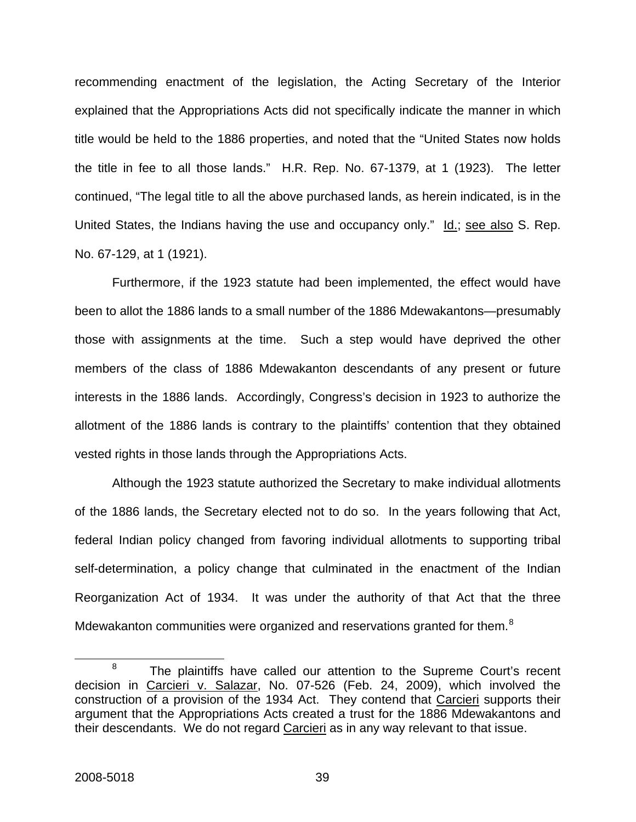recommending enactment of the legislation, the Acting Secretary of the Interior explained that the Appropriations Acts did not specifically indicate the manner in which title would be held to the 1886 properties, and noted that the "United States now holds the title in fee to all those lands." H.R. Rep. No. 67-1379, at 1 (1923). The letter continued, "The legal title to all the above purchased lands, as herein indicated, is in the United States, the Indians having the use and occupancy only." Id.; see also S. Rep. No. 67-129, at 1 (1921).

 Furthermore, if the 1923 statute had been implemented, the effect would have been to allot the 1886 lands to a small number of the 1886 Mdewakantons—presumably those with assignments at the time. Such a step would have deprived the other members of the class of 1886 Mdewakanton descendants of any present or future interests in the 1886 lands. Accordingly, Congress's decision in 1923 to authorize the allotment of the 1886 lands is contrary to the plaintiffs' contention that they obtained vested rights in those lands through the Appropriations Acts.

 Although the 1923 statute authorized the Secretary to make individual allotments of the 1886 lands, the Secretary elected not to do so. In the years following that Act, federal Indian policy changed from favoring individual allotments to supporting tribal self-determination, a policy change that culminated in the enactment of the Indian Reorganization Act of 1934. It was under the authority of that Act that the three Mdewakanton communities were organized and reservations granted for them.<sup>[8](#page-44-0)</sup>

<span id="page-44-0"></span><sup>8</sup>  $8$  The plaintiffs have called our attention to the Supreme Court's recent decision in Carcieri v. Salazar, No. 07-526 (Feb. 24, 2009), which involved the construction of a provision of the 1934 Act. They contend that Carcieri supports their argument that the Appropriations Acts created a trust for the 1886 Mdewakantons and their descendants. We do not regard Carcieri as in any way relevant to that issue.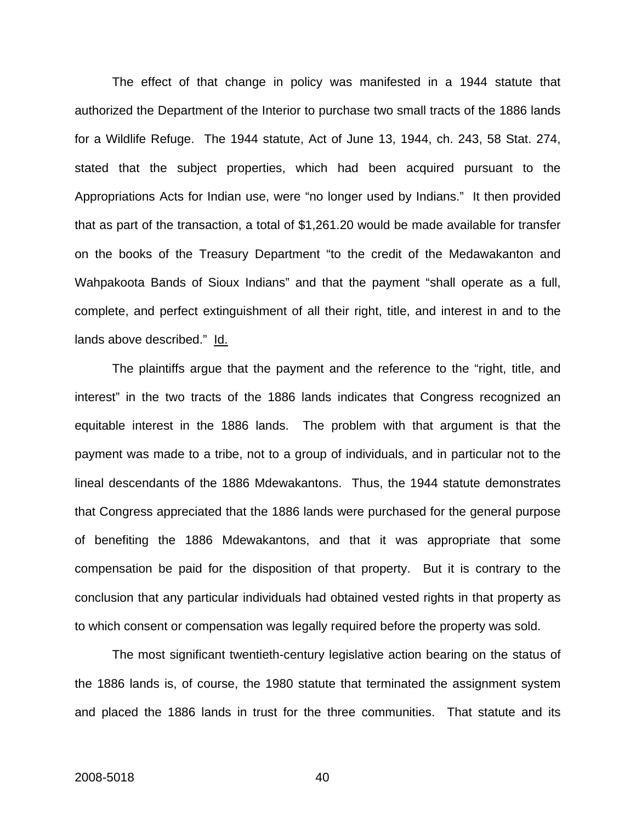The effect of that change in policy was manifested in a 1944 statute that authorized the Department of the Interior to purchase two small tracts of the 1886 lands for a Wildlife Refuge. The 1944 statute, Act of June 13, 1944, ch. 243, 58 Stat. 274, stated that the subject properties, which had been acquired pursuant to the Appropriations Acts for Indian use, were "no longer used by Indians." It then provided that as part of the transaction, a total of \$1,261.20 would be made available for transfer on the books of the Treasury Department "to the credit of the Medawakanton and Wahpakoota Bands of Sioux Indians" and that the payment "shall operate as a full, complete, and perfect extinguishment of all their right, title, and interest in and to the lands above described." Id.

The plaintiffs argue that the payment and the reference to the "right, title, and interest" in the two tracts of the 1886 lands indicates that Congress recognized an equitable interest in the 1886 lands. The problem with that argument is that the payment was made to a tribe, not to a group of individuals, and in particular not to the lineal descendants of the 1886 Mdewakantons. Thus, the 1944 statute demonstrates that Congress appreciated that the 1886 lands were purchased for the general purpose of benefiting the 1886 Mdewakantons, and that it was appropriate that some compensation be paid for the disposition of that property. But it is contrary to the conclusion that any particular individuals had obtained vested rights in that property as to which consent or compensation was legally required before the property was sold.

 The most significant twentieth-century legislative action bearing on the status of the 1886 lands is, of course, the 1980 statute that terminated the assignment system and placed the 1886 lands in trust for the three communities. That statute and its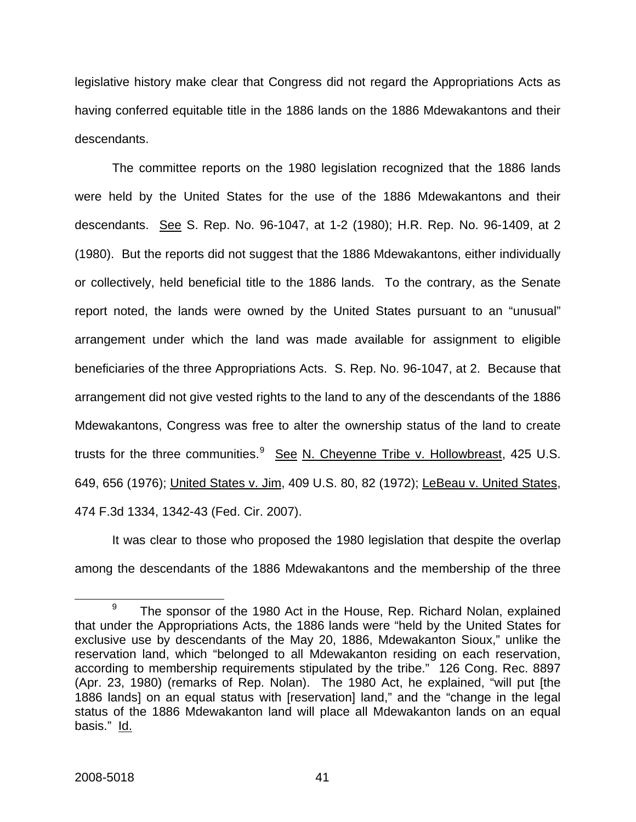legislative history make clear that Congress did not regard the Appropriations Acts as having conferred equitable title in the 1886 lands on the 1886 Mdewakantons and their descendants.

The committee reports on the 1980 legislation recognized that the 1886 lands were held by the United States for the use of the 1886 Mdewakantons and their descendants. See S. Rep. No. 96-1047, at 1-2 (1980); H.R. Rep. No. 96-1409, at 2 (1980). But the reports did not suggest that the 1886 Mdewakantons, either individually or collectively, held beneficial title to the 1886 lands. To the contrary, as the Senate report noted, the lands were owned by the United States pursuant to an "unusual" arrangement under which the land was made available for assignment to eligible beneficiaries of the three Appropriations Acts. S. Rep. No. 96-1047, at 2. Because that arrangement did not give vested rights to the land to any of the descendants of the 1886 Mdewakantons, Congress was free to alter the ownership status of the land to create trusts for the three communities.<sup>[9](#page-46-0)</sup> See N. Cheyenne Tribe v. Hollowbreast, 425 U.S. 649, 656 (1976); United States v. Jim, 409 U.S. 80, 82 (1972); LeBeau v. United States, 474 F.3d 1334, 1342-43 (Fed. Cir. 2007).

It was clear to those who proposed the 1980 legislation that despite the overlap among the descendants of the 1886 Mdewakantons and the membership of the three

<span id="page-46-0"></span><sup>9</sup>  $9$  The sponsor of the 1980 Act in the House, Rep. Richard Nolan, explained that under the Appropriations Acts, the 1886 lands were "held by the United States for exclusive use by descendants of the May 20, 1886, Mdewakanton Sioux," unlike the reservation land, which "belonged to all Mdewakanton residing on each reservation, according to membership requirements stipulated by the tribe." 126 Cong. Rec. 8897 (Apr. 23, 1980) (remarks of Rep. Nolan). The 1980 Act, he explained, "will put [the 1886 lands] on an equal status with [reservation] land," and the "change in the legal status of the 1886 Mdewakanton land will place all Mdewakanton lands on an equal basis." Id.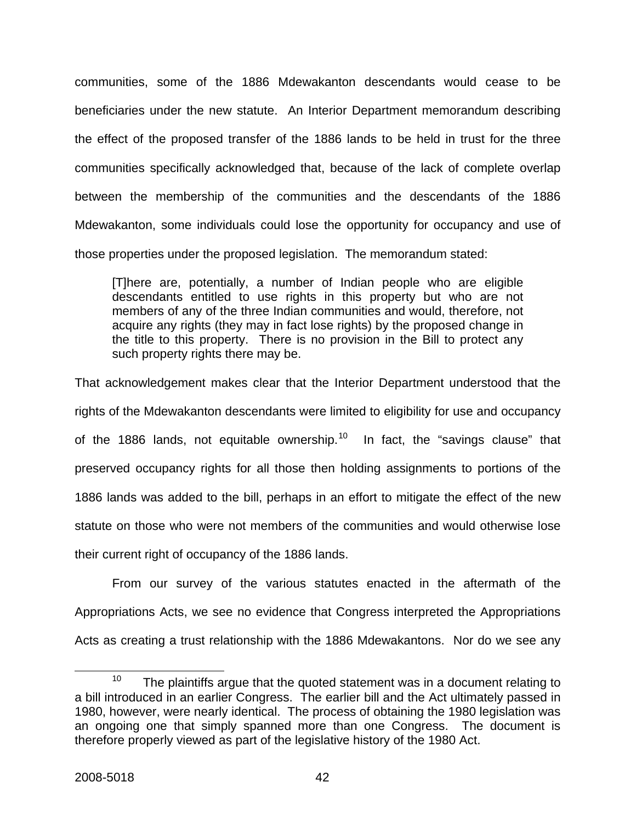communities, some of the 1886 Mdewakanton descendants would cease to be beneficiaries under the new statute. An Interior Department memorandum describing the effect of the proposed transfer of the 1886 lands to be held in trust for the three communities specifically acknowledged that, because of the lack of complete overlap between the membership of the communities and the descendants of the 1886 Mdewakanton, some individuals could lose the opportunity for occupancy and use of those properties under the proposed legislation. The memorandum stated:

[T]here are, potentially, a number of Indian people who are eligible descendants entitled to use rights in this property but who are not members of any of the three Indian communities and would, therefore, not acquire any rights (they may in fact lose rights) by the proposed change in the title to this property. There is no provision in the Bill to protect any such property rights there may be.

That acknowledgement makes clear that the Interior Department understood that the rights of the Mdewakanton descendants were limited to eligibility for use and occupancy of the 1886 lands, not equitable ownership.<sup>[10](#page-47-0)</sup> In fact, the "savings clause" that preserved occupancy rights for all those then holding assignments to portions of the 1886 lands was added to the bill, perhaps in an effort to mitigate the effect of the new statute on those who were not members of the communities and would otherwise lose their current right of occupancy of the 1886 lands.

 From our survey of the various statutes enacted in the aftermath of the Appropriations Acts, we see no evidence that Congress interpreted the Appropriations Acts as creating a trust relationship with the 1886 Mdewakantons. Nor do we see any

<span id="page-47-0"></span> $10$  The plaintiffs argue that the quoted statement was in a document relating to a bill introduced in an earlier Congress. The earlier bill and the Act ultimately passed in 1980, however, were nearly identical. The process of obtaining the 1980 legislation was an ongoing one that simply spanned more than one Congress. The document is therefore properly viewed as part of the legislative history of the 1980 Act.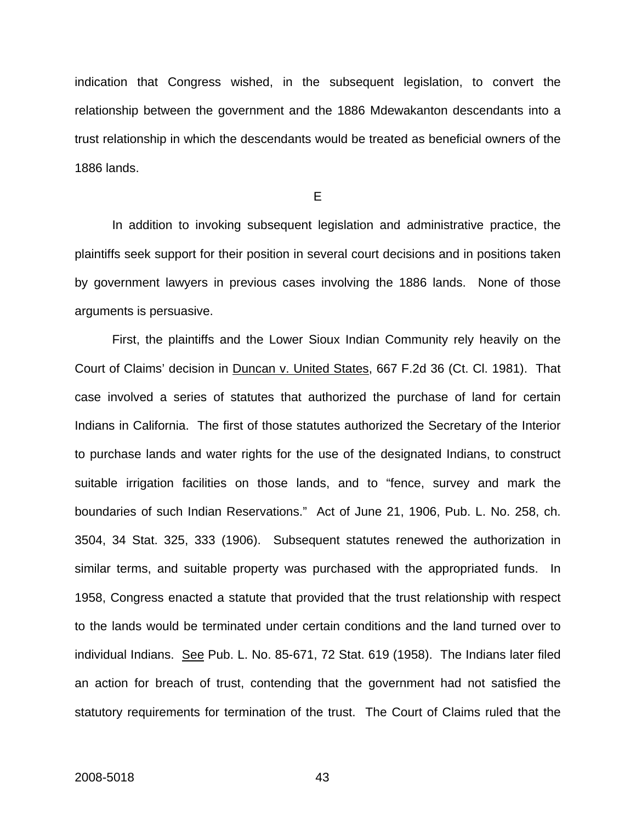indication that Congress wished, in the subsequent legislation, to convert the relationship between the government and the 1886 Mdewakanton descendants into a trust relationship in which the descendants would be treated as beneficial owners of the 1886 lands.

E

In addition to invoking subsequent legislation and administrative practice, the plaintiffs seek support for their position in several court decisions and in positions taken by government lawyers in previous cases involving the 1886 lands. None of those arguments is persuasive.

First, the plaintiffs and the Lower Sioux Indian Community rely heavily on the Court of Claims' decision in Duncan v. United States, 667 F.2d 36 (Ct. Cl. 1981). That case involved a series of statutes that authorized the purchase of land for certain Indians in California. The first of those statutes authorized the Secretary of the Interior to purchase lands and water rights for the use of the designated Indians, to construct suitable irrigation facilities on those lands, and to "fence, survey and mark the boundaries of such Indian Reservations." Act of June 21, 1906, Pub. L. No. 258, ch. 3504, 34 Stat. 325, 333 (1906). Subsequent statutes renewed the authorization in similar terms, and suitable property was purchased with the appropriated funds. In 1958, Congress enacted a statute that provided that the trust relationship with respect to the lands would be terminated under certain conditions and the land turned over to individual Indians. See Pub. L. No. 85-671, 72 Stat. 619 (1958). The Indians later filed an action for breach of trust, contending that the government had not satisfied the statutory requirements for termination of the trust. The Court of Claims ruled that the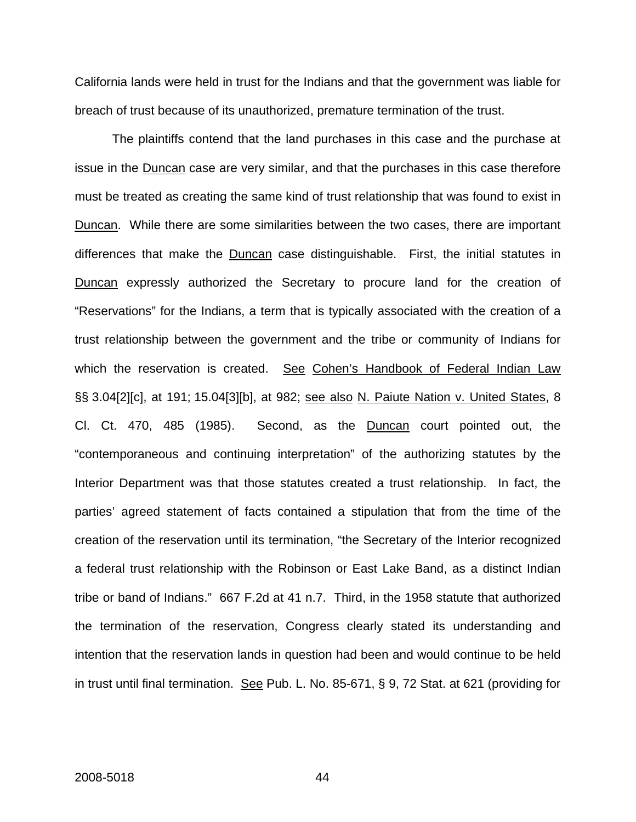California lands were held in trust for the Indians and that the government was liable for breach of trust because of its unauthorized, premature termination of the trust.

The plaintiffs contend that the land purchases in this case and the purchase at issue in the Duncan case are very similar, and that the purchases in this case therefore must be treated as creating the same kind of trust relationship that was found to exist in Duncan. While there are some similarities between the two cases, there are important differences that make the Duncan case distinguishable. First, the initial statutes in Duncan expressly authorized the Secretary to procure land for the creation of "Reservations" for the Indians, a term that is typically associated with the creation of a trust relationship between the government and the tribe or community of Indians for which the reservation is created. See Cohen's Handbook of Federal Indian Law §§ 3.04[2][c], at 191; 15.04[3][b], at 982; see also N. Paiute Nation v. United States, 8 Cl. Ct. 470, 485 (1985). Second, as the Duncan court pointed out, the "contemporaneous and continuing interpretation" of the authorizing statutes by the Interior Department was that those statutes created a trust relationship. In fact, the parties' agreed statement of facts contained a stipulation that from the time of the creation of the reservation until its termination, "the Secretary of the Interior recognized a federal trust relationship with the Robinson or East Lake Band, as a distinct Indian tribe or band of Indians." 667 F.2d at 41 n.7. Third, in the 1958 statute that authorized the termination of the reservation, Congress clearly stated its understanding and intention that the reservation lands in question had been and would continue to be held in trust until final termination. See Pub. L. No. 85-671, § 9, 72 Stat. at 621 (providing for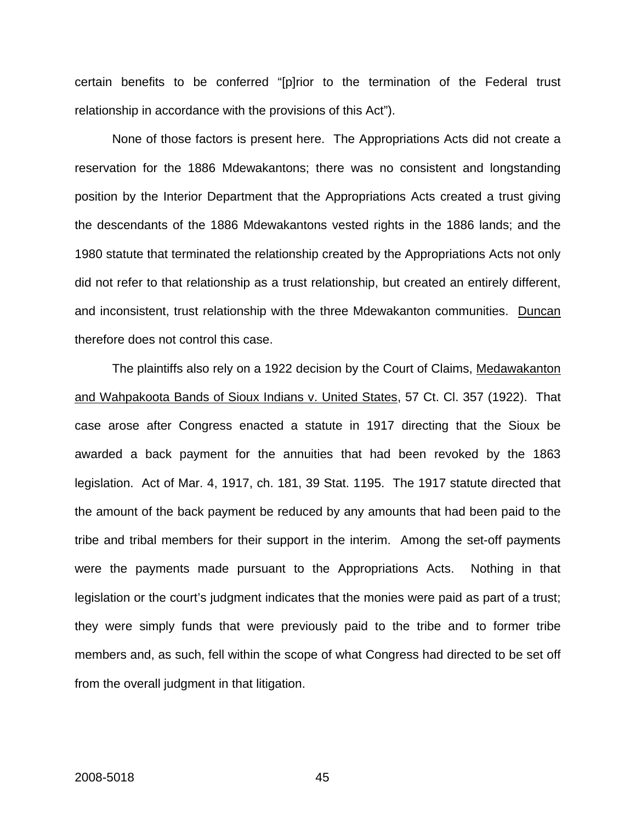certain benefits to be conferred "[p]rior to the termination of the Federal trust relationship in accordance with the provisions of this Act").

None of those factors is present here. The Appropriations Acts did not create a reservation for the 1886 Mdewakantons; there was no consistent and longstanding position by the Interior Department that the Appropriations Acts created a trust giving the descendants of the 1886 Mdewakantons vested rights in the 1886 lands; and the 1980 statute that terminated the relationship created by the Appropriations Acts not only did not refer to that relationship as a trust relationship, but created an entirely different, and inconsistent, trust relationship with the three Mdewakanton communities. Duncan therefore does not control this case.

The plaintiffs also rely on a 1922 decision by the Court of Claims, Medawakanton and Wahpakoota Bands of Sioux Indians v. United States, 57 Ct. Cl. 357 (1922). That case arose after Congress enacted a statute in 1917 directing that the Sioux be awarded a back payment for the annuities that had been revoked by the 1863 legislation. Act of Mar. 4, 1917, ch. 181, 39 Stat. 1195. The 1917 statute directed that the amount of the back payment be reduced by any amounts that had been paid to the tribe and tribal members for their support in the interim. Among the set-off payments were the payments made pursuant to the Appropriations Acts. Nothing in that legislation or the court's judgment indicates that the monies were paid as part of a trust; they were simply funds that were previously paid to the tribe and to former tribe members and, as such, fell within the scope of what Congress had directed to be set off from the overall judgment in that litigation.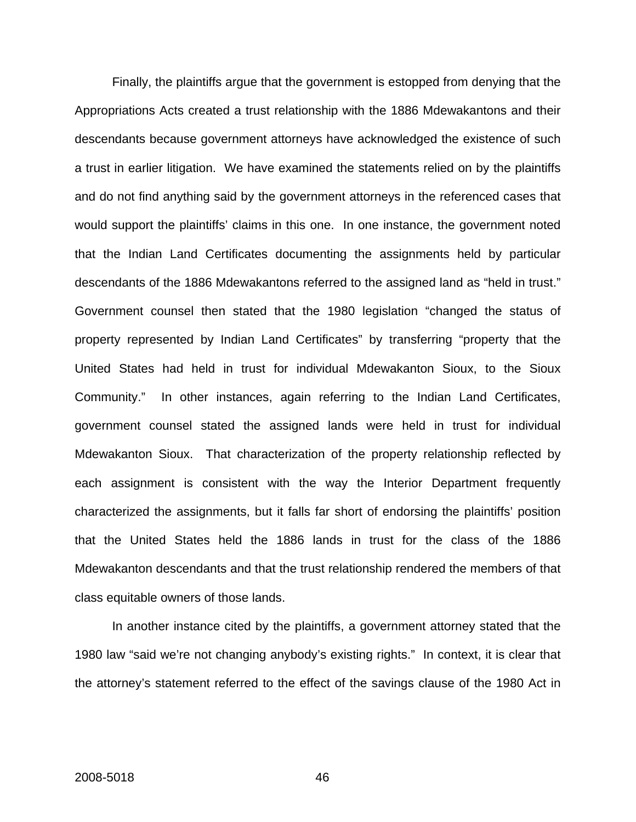Finally, the plaintiffs argue that the government is estopped from denying that the Appropriations Acts created a trust relationship with the 1886 Mdewakantons and their descendants because government attorneys have acknowledged the existence of such a trust in earlier litigation. We have examined the statements relied on by the plaintiffs and do not find anything said by the government attorneys in the referenced cases that would support the plaintiffs' claims in this one. In one instance, the government noted that the Indian Land Certificates documenting the assignments held by particular descendants of the 1886 Mdewakantons referred to the assigned land as "held in trust." Government counsel then stated that the 1980 legislation "changed the status of property represented by Indian Land Certificates" by transferring "property that the United States had held in trust for individual Mdewakanton Sioux, to the Sioux Community." In other instances, again referring to the Indian Land Certificates, government counsel stated the assigned lands were held in trust for individual Mdewakanton Sioux. That characterization of the property relationship reflected by each assignment is consistent with the way the Interior Department frequently characterized the assignments, but it falls far short of endorsing the plaintiffs' position that the United States held the 1886 lands in trust for the class of the 1886 Mdewakanton descendants and that the trust relationship rendered the members of that class equitable owners of those lands.

In another instance cited by the plaintiffs, a government attorney stated that the 1980 law "said we're not changing anybody's existing rights." In context, it is clear that the attorney's statement referred to the effect of the savings clause of the 1980 Act in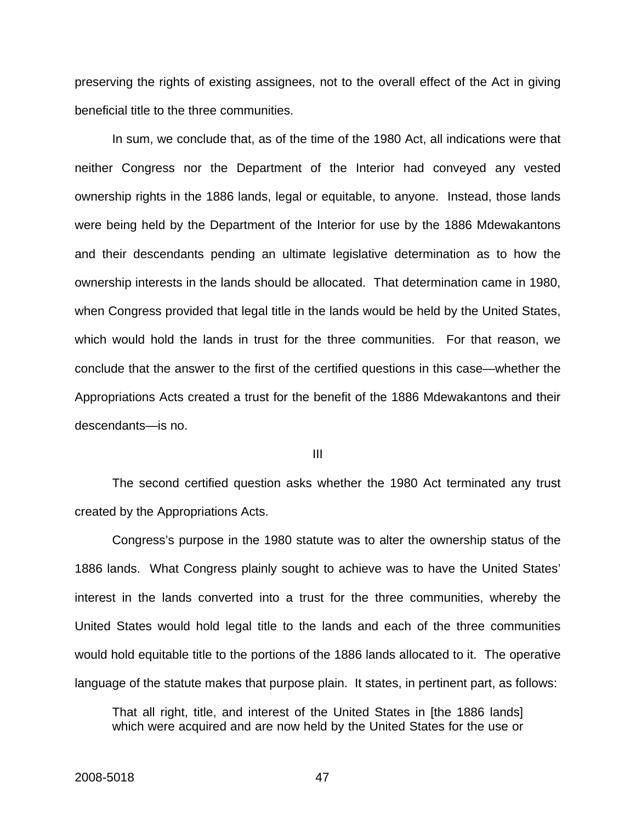preserving the rights of existing assignees, not to the overall effect of the Act in giving beneficial title to the three communities.

 In sum, we conclude that, as of the time of the 1980 Act, all indications were that neither Congress nor the Department of the Interior had conveyed any vested ownership rights in the 1886 lands, legal or equitable, to anyone. Instead, those lands were being held by the Department of the Interior for use by the 1886 Mdewakantons and their descendants pending an ultimate legislative determination as to how the ownership interests in the lands should be allocated. That determination came in 1980, when Congress provided that legal title in the lands would be held by the United States, which would hold the lands in trust for the three communities. For that reason, we conclude that the answer to the first of the certified questions in this case—whether the Appropriations Acts created a trust for the benefit of the 1886 Mdewakantons and their descendants—is no.

III

 The second certified question asks whether the 1980 Act terminated any trust created by the Appropriations Acts.

 Congress's purpose in the 1980 statute was to alter the ownership status of the 1886 lands. What Congress plainly sought to achieve was to have the United States' interest in the lands converted into a trust for the three communities, whereby the United States would hold legal title to the lands and each of the three communities would hold equitable title to the portions of the 1886 lands allocated to it. The operative language of the statute makes that purpose plain. It states, in pertinent part, as follows:

That all right, title, and interest of the United States in [the 1886 lands] which were acquired and are now held by the United States for the use or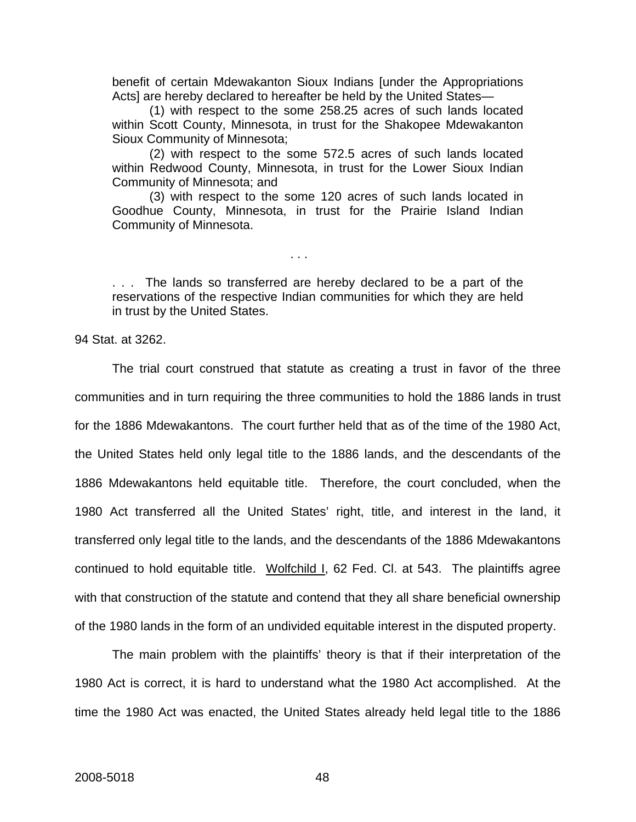benefit of certain Mdewakanton Sioux Indians [under the Appropriations Acts] are hereby declared to hereafter be held by the United States—

(1) with respect to the some 258.25 acres of such lands located within Scott County, Minnesota, in trust for the Shakopee Mdewakanton Sioux Community of Minnesota;

(2) with respect to the some 572.5 acres of such lands located within Redwood County, Minnesota, in trust for the Lower Sioux Indian Community of Minnesota; and

(3) with respect to the some 120 acres of such lands located in Goodhue County, Minnesota, in trust for the Prairie Island Indian Community of Minnesota.

. . . The lands so transferred are hereby declared to be a part of the reservations of the respective Indian communities for which they are held in trust by the United States.

. . .

94 Stat. at 3262.

The trial court construed that statute as creating a trust in favor of the three communities and in turn requiring the three communities to hold the 1886 lands in trust for the 1886 Mdewakantons. The court further held that as of the time of the 1980 Act, the United States held only legal title to the 1886 lands, and the descendants of the 1886 Mdewakantons held equitable title. Therefore, the court concluded, when the 1980 Act transferred all the United States' right, title, and interest in the land, it transferred only legal title to the lands, and the descendants of the 1886 Mdewakantons continued to hold equitable title. Wolfchild I, 62 Fed. Cl. at 543. The plaintiffs agree with that construction of the statute and contend that they all share beneficial ownership of the 1980 lands in the form of an undivided equitable interest in the disputed property.

The main problem with the plaintiffs' theory is that if their interpretation of the 1980 Act is correct, it is hard to understand what the 1980 Act accomplished. At the time the 1980 Act was enacted, the United States already held legal title to the 1886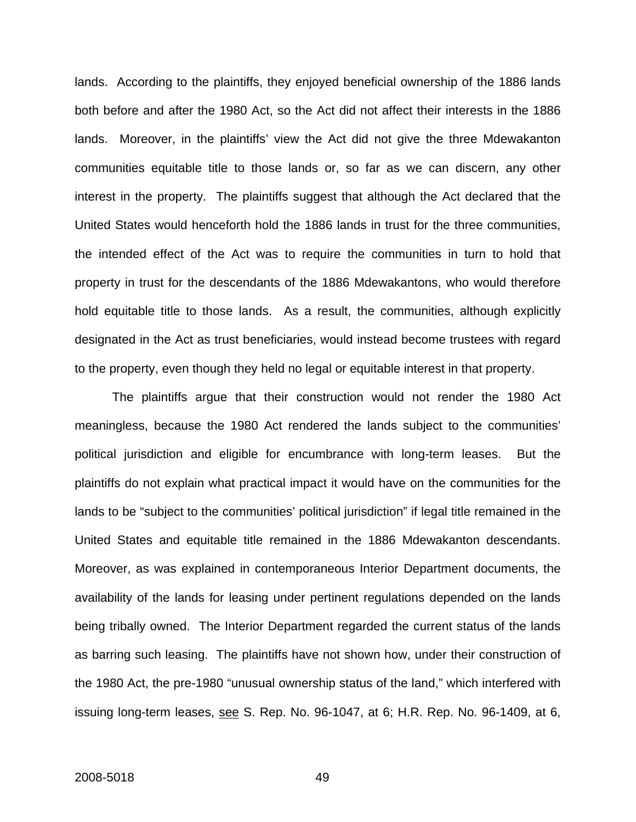lands. According to the plaintiffs, they enjoyed beneficial ownership of the 1886 lands both before and after the 1980 Act, so the Act did not affect their interests in the 1886 lands. Moreover, in the plaintiffs' view the Act did not give the three Mdewakanton communities equitable title to those lands or, so far as we can discern, any other interest in the property. The plaintiffs suggest that although the Act declared that the United States would henceforth hold the 1886 lands in trust for the three communities, the intended effect of the Act was to require the communities in turn to hold that property in trust for the descendants of the 1886 Mdewakantons, who would therefore hold equitable title to those lands. As a result, the communities, although explicitly designated in the Act as trust beneficiaries, would instead become trustees with regard to the property, even though they held no legal or equitable interest in that property.

The plaintiffs argue that their construction would not render the 1980 Act meaningless, because the 1980 Act rendered the lands subject to the communities' political jurisdiction and eligible for encumbrance with long-term leases. But the plaintiffs do not explain what practical impact it would have on the communities for the lands to be "subject to the communities' political jurisdiction" if legal title remained in the United States and equitable title remained in the 1886 Mdewakanton descendants. Moreover, as was explained in contemporaneous Interior Department documents, the availability of the lands for leasing under pertinent regulations depended on the lands being tribally owned. The Interior Department regarded the current status of the lands as barring such leasing. The plaintiffs have not shown how, under their construction of the 1980 Act, the pre-1980 "unusual ownership status of the land," which interfered with issuing long-term leases, see S. Rep. No. 96-1047, at 6; H.R. Rep. No. 96-1409, at 6,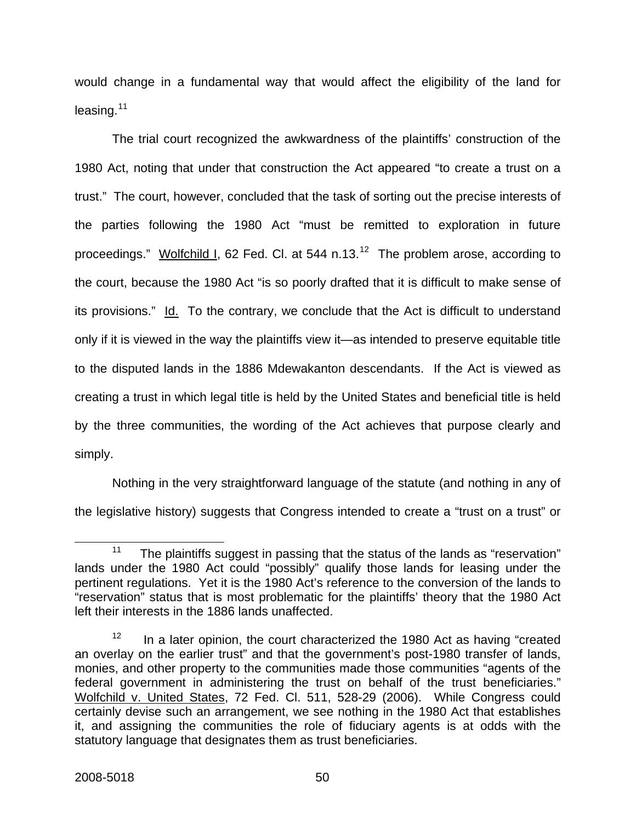would change in a fundamental way that would affect the eligibility of the land for  $leasing.<sup>11</sup>$  $leasing.<sup>11</sup>$  $leasing.<sup>11</sup>$ 

The trial court recognized the awkwardness of the plaintiffs' construction of the 1980 Act, noting that under that construction the Act appeared "to create a trust on a trust." The court, however, concluded that the task of sorting out the precise interests of the parties following the 1980 Act "must be remitted to exploration in future proceedings." Wolfchild I, 62 Fed. Cl. at 544 n.13.<sup>[12](#page-55-1)</sup> The problem arose, according to the court, because the 1980 Act "is so poorly drafted that it is difficult to make sense of its provisions." Id. To the contrary, we conclude that the Act is difficult to understand only if it is viewed in the way the plaintiffs view it—as intended to preserve equitable title to the disputed lands in the 1886 Mdewakanton descendants. If the Act is viewed as creating a trust in which legal title is held by the United States and beneficial title is held by the three communities, the wording of the Act achieves that purpose clearly and simply.

Nothing in the very straightforward language of the statute (and nothing in any of the legislative history) suggests that Congress intended to create a "trust on a trust" or

<span id="page-55-0"></span><sup>&</sup>lt;sup>11</sup> The plaintiffs suggest in passing that the status of the lands as "reservation" lands under the 1980 Act could "possibly" qualify those lands for leasing under the pertinent regulations. Yet it is the 1980 Act's reference to the conversion of the lands to "reservation" status that is most problematic for the plaintiffs' theory that the 1980 Act left their interests in the 1886 lands unaffected.

<span id="page-55-1"></span> $12$  In a later opinion, the court characterized the 1980 Act as having "created an overlay on the earlier trust" and that the government's post-1980 transfer of lands, monies, and other property to the communities made those communities "agents of the federal government in administering the trust on behalf of the trust beneficiaries." Wolfchild v. United States, 72 Fed. Cl. 511, 528-29 (2006). While Congress could certainly devise such an arrangement, we see nothing in the 1980 Act that establishes it, and assigning the communities the role of fiduciary agents is at odds with the statutory language that designates them as trust beneficiaries.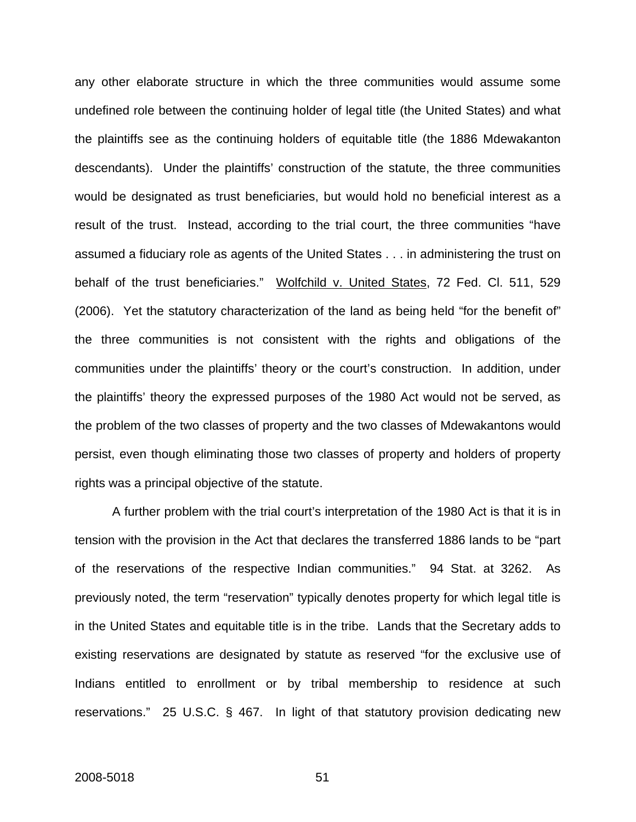any other elaborate structure in which the three communities would assume some undefined role between the continuing holder of legal title (the United States) and what the plaintiffs see as the continuing holders of equitable title (the 1886 Mdewakanton descendants). Under the plaintiffs' construction of the statute, the three communities would be designated as trust beneficiaries, but would hold no beneficial interest as a result of the trust. Instead, according to the trial court, the three communities "have assumed a fiduciary role as agents of the United States . . . in administering the trust on behalf of the trust beneficiaries." Wolfchild v. United States, 72 Fed. Cl. 511, 529 (2006). Yet the statutory characterization of the land as being held "for the benefit of" the three communities is not consistent with the rights and obligations of the communities under the plaintiffs' theory or the court's construction. In addition, under the plaintiffs' theory the expressed purposes of the 1980 Act would not be served, as the problem of the two classes of property and the two classes of Mdewakantons would persist, even though eliminating those two classes of property and holders of property rights was a principal objective of the statute.

A further problem with the trial court's interpretation of the 1980 Act is that it is in tension with the provision in the Act that declares the transferred 1886 lands to be "part of the reservations of the respective Indian communities." 94 Stat. at 3262. As previously noted, the term "reservation" typically denotes property for which legal title is in the United States and equitable title is in the tribe. Lands that the Secretary adds to existing reservations are designated by statute as reserved "for the exclusive use of Indians entitled to enrollment or by tribal membership to residence at such reservations." 25 U.S.C. § 467. In light of that statutory provision dedicating new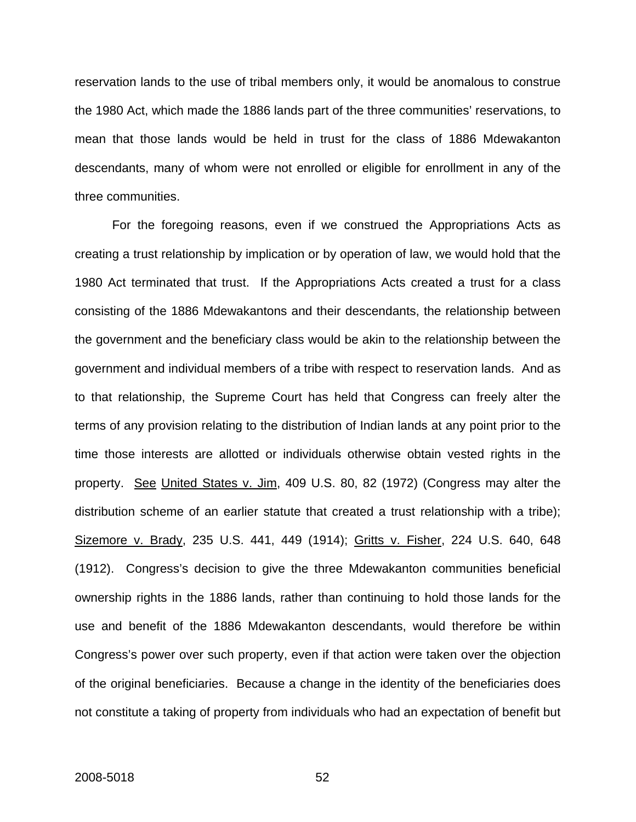reservation lands to the use of tribal members only, it would be anomalous to construe the 1980 Act, which made the 1886 lands part of the three communities' reservations, to mean that those lands would be held in trust for the class of 1886 Mdewakanton descendants, many of whom were not enrolled or eligible for enrollment in any of the three communities.

For the foregoing reasons, even if we construed the Appropriations Acts as creating a trust relationship by implication or by operation of law, we would hold that the 1980 Act terminated that trust. If the Appropriations Acts created a trust for a class consisting of the 1886 Mdewakantons and their descendants, the relationship between the government and the beneficiary class would be akin to the relationship between the government and individual members of a tribe with respect to reservation lands. And as to that relationship, the Supreme Court has held that Congress can freely alter the terms of any provision relating to the distribution of Indian lands at any point prior to the time those interests are allotted or individuals otherwise obtain vested rights in the property. See United States v. Jim, 409 U.S. 80, 82 (1972) (Congress may alter the distribution scheme of an earlier statute that created a trust relationship with a tribe); Sizemore v. Brady, 235 U.S. 441, 449 (1914); Gritts v. Fisher, 224 U.S. 640, 648 (1912). Congress's decision to give the three Mdewakanton communities beneficial ownership rights in the 1886 lands, rather than continuing to hold those lands for the use and benefit of the 1886 Mdewakanton descendants, would therefore be within Congress's power over such property, even if that action were taken over the objection of the original beneficiaries. Because a change in the identity of the beneficiaries does not constitute a taking of property from individuals who had an expectation of benefit but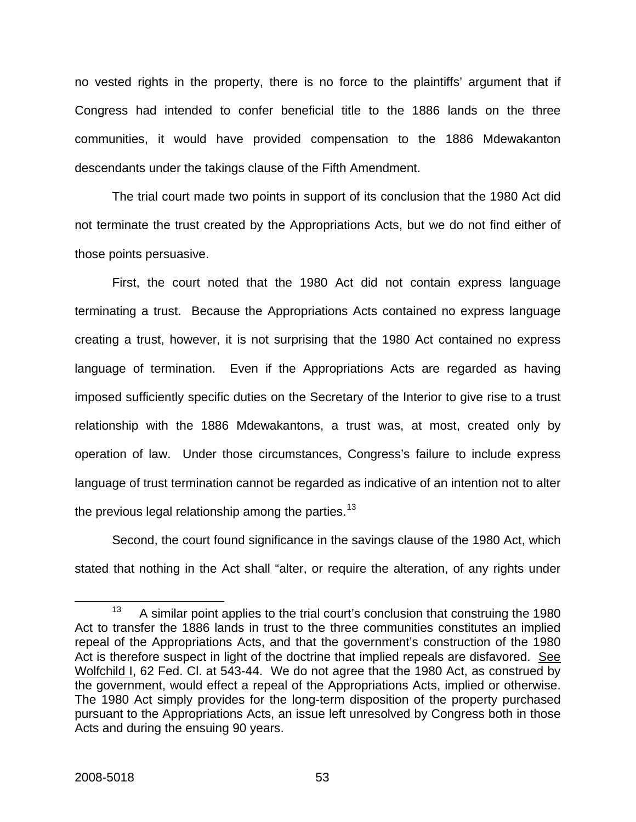no vested rights in the property, there is no force to the plaintiffs' argument that if Congress had intended to confer beneficial title to the 1886 lands on the three communities, it would have provided compensation to the 1886 Mdewakanton descendants under the takings clause of the Fifth Amendment.

The trial court made two points in support of its conclusion that the 1980 Act did not terminate the trust created by the Appropriations Acts, but we do not find either of those points persuasive.

First, the court noted that the 1980 Act did not contain express language terminating a trust. Because the Appropriations Acts contained no express language creating a trust, however, it is not surprising that the 1980 Act contained no express language of termination. Even if the Appropriations Acts are regarded as having imposed sufficiently specific duties on the Secretary of the Interior to give rise to a trust relationship with the 1886 Mdewakantons, a trust was, at most, created only by operation of law. Under those circumstances, Congress's failure to include express language of trust termination cannot be regarded as indicative of an intention not to alter the previous legal relationship among the parties.<sup>[13](#page-58-0)</sup>

Second, the court found significance in the savings clause of the 1980 Act, which stated that nothing in the Act shall "alter, or require the alteration, of any rights under

<span id="page-58-0"></span> $13$  A similar point applies to the trial court's conclusion that construing the 1980 Act to transfer the 1886 lands in trust to the three communities constitutes an implied repeal of the Appropriations Acts, and that the government's construction of the 1980 Act is therefore suspect in light of the doctrine that implied repeals are disfavored. See Wolfchild I, 62 Fed. Cl. at 543-44. We do not agree that the 1980 Act, as construed by the government, would effect a repeal of the Appropriations Acts, implied or otherwise. The 1980 Act simply provides for the long-term disposition of the property purchased pursuant to the Appropriations Acts, an issue left unresolved by Congress both in those Acts and during the ensuing 90 years.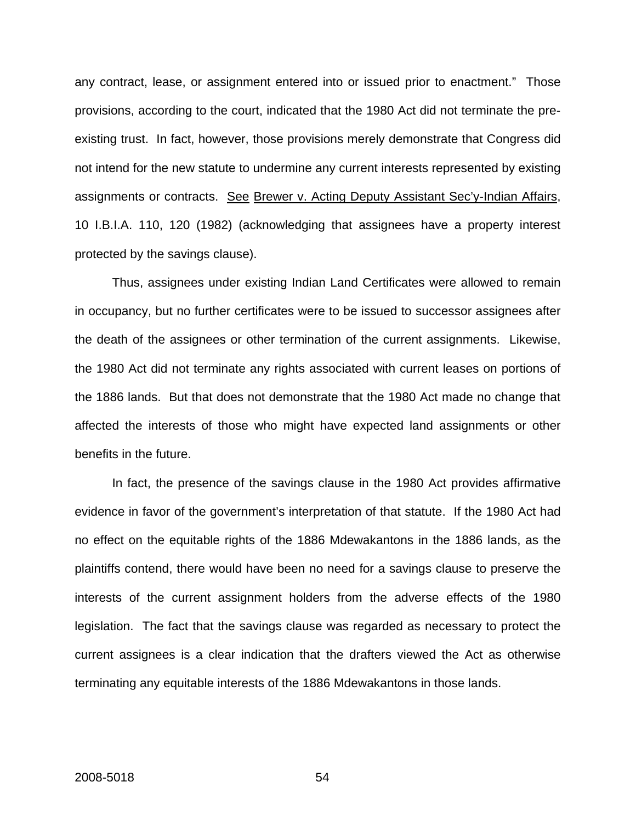any contract, lease, or assignment entered into or issued prior to enactment." Those provisions, according to the court, indicated that the 1980 Act did not terminate the preexisting trust. In fact, however, those provisions merely demonstrate that Congress did not intend for the new statute to undermine any current interests represented by existing assignments or contracts. See Brewer v. Acting Deputy Assistant Sec'y-Indian Affairs, 10 I.B.I.A. 110, 120 (1982) (acknowledging that assignees have a property interest protected by the savings clause).

Thus, assignees under existing Indian Land Certificates were allowed to remain in occupancy, but no further certificates were to be issued to successor assignees after the death of the assignees or other termination of the current assignments. Likewise, the 1980 Act did not terminate any rights associated with current leases on portions of the 1886 lands. But that does not demonstrate that the 1980 Act made no change that affected the interests of those who might have expected land assignments or other benefits in the future.

In fact, the presence of the savings clause in the 1980 Act provides affirmative evidence in favor of the government's interpretation of that statute. If the 1980 Act had no effect on the equitable rights of the 1886 Mdewakantons in the 1886 lands, as the plaintiffs contend, there would have been no need for a savings clause to preserve the interests of the current assignment holders from the adverse effects of the 1980 legislation. The fact that the savings clause was regarded as necessary to protect the current assignees is a clear indication that the drafters viewed the Act as otherwise terminating any equitable interests of the 1886 Mdewakantons in those lands.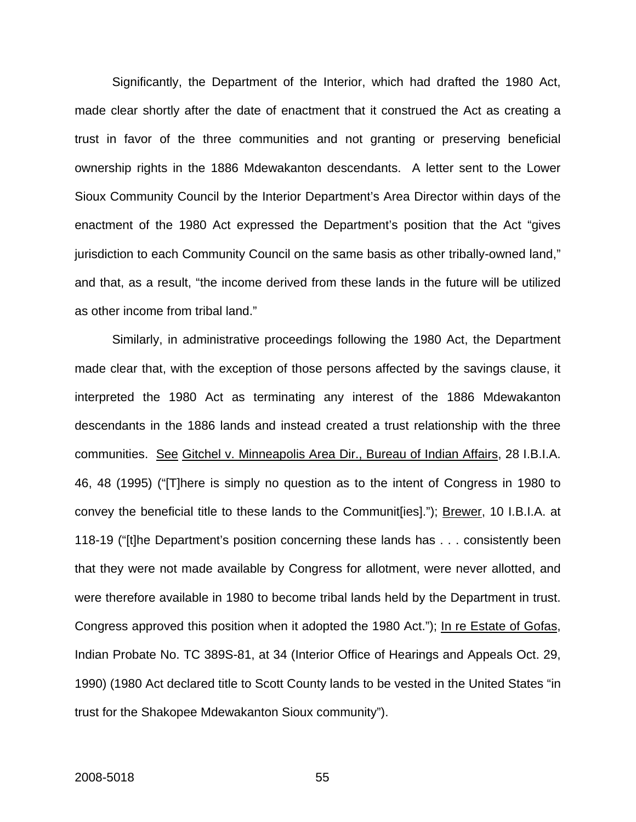Significantly, the Department of the Interior, which had drafted the 1980 Act, made clear shortly after the date of enactment that it construed the Act as creating a trust in favor of the three communities and not granting or preserving beneficial ownership rights in the 1886 Mdewakanton descendants. A letter sent to the Lower Sioux Community Council by the Interior Department's Area Director within days of the enactment of the 1980 Act expressed the Department's position that the Act "gives jurisdiction to each Community Council on the same basis as other tribally-owned land," and that, as a result, "the income derived from these lands in the future will be utilized as other income from tribal land."

Similarly, in administrative proceedings following the 1980 Act, the Department made clear that, with the exception of those persons affected by the savings clause, it interpreted the 1980 Act as terminating any interest of the 1886 Mdewakanton descendants in the 1886 lands and instead created a trust relationship with the three communities. See Gitchel v. Minneapolis Area Dir., Bureau of Indian Affairs, 28 I.B.I.A. 46, 48 (1995) ("[T]here is simply no question as to the intent of Congress in 1980 to convey the beneficial title to these lands to the Communit[ies]."); Brewer, 10 I.B.I.A. at 118-19 ("[t]he Department's position concerning these lands has . . . consistently been that they were not made available by Congress for allotment, were never allotted, and were therefore available in 1980 to become tribal lands held by the Department in trust. Congress approved this position when it adopted the 1980 Act."); In re Estate of Gofas, Indian Probate No. TC 389S-81, at 34 (Interior Office of Hearings and Appeals Oct. 29, 1990) (1980 Act declared title to Scott County lands to be vested in the United States "in trust for the Shakopee Mdewakanton Sioux community").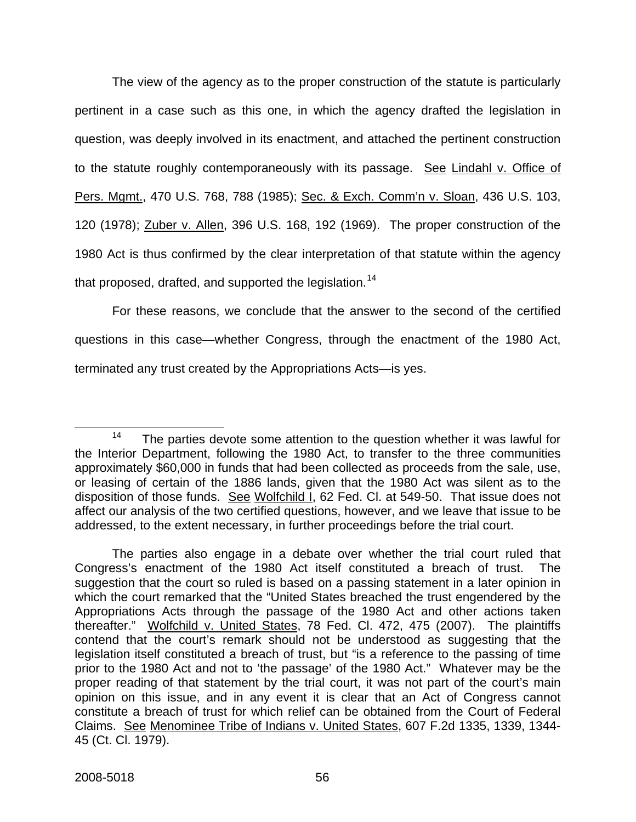The view of the agency as to the proper construction of the statute is particularly pertinent in a case such as this one, in which the agency drafted the legislation in question, was deeply involved in its enactment, and attached the pertinent construction to the statute roughly contemporaneously with its passage. See Lindahl v. Office of Pers. Mgmt., 470 U.S. 768, 788 (1985); Sec. & Exch. Comm'n v. Sloan, 436 U.S. 103, 120 (1978); Zuber v. Allen, 396 U.S. 168, 192 (1969). The proper construction of the 1980 Act is thus confirmed by the clear interpretation of that statute within the agency that proposed, drafted, and supported the legislation.<sup>[14](#page-61-0)</sup>

For these reasons, we conclude that the answer to the second of the certified questions in this case—whether Congress, through the enactment of the 1980 Act, terminated any trust created by the Appropriations Acts—is yes.

<span id="page-61-0"></span> $14$  The parties devote some attention to the question whether it was lawful for the Interior Department, following the 1980 Act, to transfer to the three communities approximately \$60,000 in funds that had been collected as proceeds from the sale, use, or leasing of certain of the 1886 lands, given that the 1980 Act was silent as to the disposition of those funds. See Wolfchild I, 62 Fed. Cl. at 549-50. That issue does not affect our analysis of the two certified questions, however, and we leave that issue to be addressed, to the extent necessary, in further proceedings before the trial court.

The parties also engage in a debate over whether the trial court ruled that Congress's enactment of the 1980 Act itself constituted a breach of trust. The suggestion that the court so ruled is based on a passing statement in a later opinion in which the court remarked that the "United States breached the trust engendered by the Appropriations Acts through the passage of the 1980 Act and other actions taken thereafter." Wolfchild v. United States, 78 Fed. Cl. 472, 475 (2007). The plaintiffs contend that the court's remark should not be understood as suggesting that the legislation itself constituted a breach of trust, but "is a reference to the passing of time prior to the 1980 Act and not to 'the passage' of the 1980 Act." Whatever may be the proper reading of that statement by the trial court, it was not part of the court's main opinion on this issue, and in any event it is clear that an Act of Congress cannot constitute a breach of trust for which relief can be obtained from the Court of Federal Claims. See Menominee Tribe of Indians v. United States, 607 F.2d 1335, 1339, 1344- 45 (Ct. Cl. 1979).